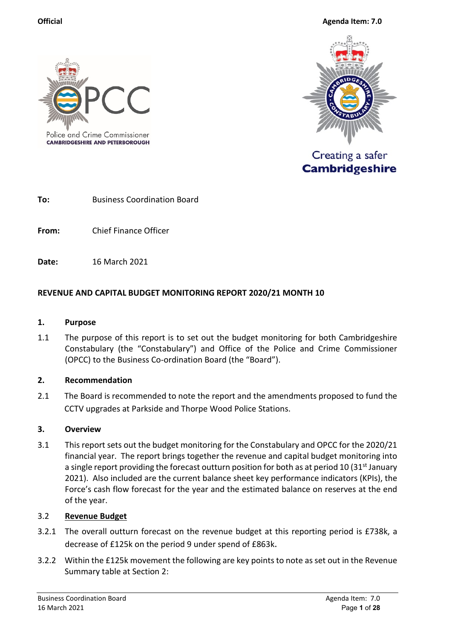

**CAMBRIDGESHIRE AND PETERBOROUGH** 



Creating a safer **Cambridgeshire** 

**To:** Business Coordination Board

**From:** Chief Finance Officer

**Date:** 16 March 2021

## **REVENUE AND CAPITAL BUDGET MONITORING REPORT 2020/21 MONTH 10**

#### **1. Purpose**

1.1 The purpose of this report is to set out the budget monitoring for both Cambridgeshire Constabulary (the "Constabulary") and Office of the Police and Crime Commissioner (OPCC) to the Business Co-ordination Board (the "Board").

#### **2. Recommendation**

2.1 The Board is recommended to note the report and the amendments proposed to fund the CCTV upgrades at Parkside and Thorpe Wood Police Stations.

#### **3. Overview**

3.1 This report sets out the budget monitoring for the Constabulary and OPCC for the 2020/21 financial year. The report brings together the revenue and capital budget monitoring into a single report providing the forecast outturn position for both as at period 10 (31st January 2021). Also included are the current balance sheet key performance indicators (KPIs), the Force's cash flow forecast for the year and the estimated balance on reserves at the end of the year.

#### 3.2 **Revenue Budget**

- 3.2.1 The overall outturn forecast on the revenue budget at this reporting period is £738k, a decrease of £125k on the period 9 under spend of £863k.
- 3.2.2 Within the £125k movement the following are key points to note as set out in the Revenue Summary table at Section 2: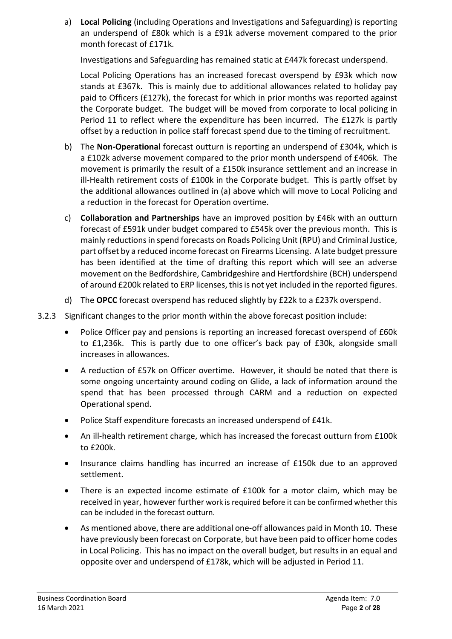a) **Local Policing** (including Operations and Investigations and Safeguarding) is reporting an underspend of £80k which is a £91k adverse movement compared to the prior month forecast of £171k.

Investigations and Safeguarding has remained static at £447k forecast underspend.

Local Policing Operations has an increased forecast overspend by £93k which now stands at £367k. This is mainly due to additional allowances related to holiday pay paid to Officers (£127k), the forecast for which in prior months was reported against the Corporate budget. The budget will be moved from corporate to local policing in Period 11 to reflect where the expenditure has been incurred. The £127k is partly offset by a reduction in police staff forecast spend due to the timing of recruitment.

- b) The **Non-Operational** forecast outturn is reporting an underspend of £304k, which is a £102k adverse movement compared to the prior month underspend of £406k. The movement is primarily the result of a £150k insurance settlement and an increase in ill-Health retirement costs of £100k in the Corporate budget. This is partly offset by the additional allowances outlined in (a) above which will move to Local Policing and a reduction in the forecast for Operation overtime.
- c) **Collaboration and Partnerships** have an improved position by £46k with an outturn forecast of £591k under budget compared to £545k over the previous month. This is mainly reductions in spend forecasts on Roads Policing Unit (RPU) and Criminal Justice, part offset by a reduced income forecast on Firearms Licensing. A late budget pressure has been identified at the time of drafting this report which will see an adverse movement on the Bedfordshire, Cambridgeshire and Hertfordshire (BCH) underspend of around £200k related to ERP licenses, this is not yet included in the reported figures.
- d) The **OPCC** forecast overspend has reduced slightly by £22k to a £237k overspend.
- 3.2.3 Significant changes to the prior month within the above forecast position include:
	- Police Officer pay and pensions is reporting an increased forecast overspend of £60k to £1,236k. This is partly due to one officer's back pay of £30k, alongside small increases in allowances.
	- A reduction of £57k on Officer overtime. However, it should be noted that there is some ongoing uncertainty around coding on Glide, a lack of information around the spend that has been processed through CARM and a reduction on expected Operational spend.
	- Police Staff expenditure forecasts an increased underspend of £41k.
	- An ill-health retirement charge, which has increased the forecast outturn from £100k to £200k.
	- Insurance claims handling has incurred an increase of £150k due to an approved settlement.
	- There is an expected income estimate of £100k for a motor claim, which may be received in year, however further work is required before it can be confirmed whether this can be included in the forecast outturn.
	- As mentioned above, there are additional one-off allowances paid in Month 10. These have previously been forecast on Corporate, but have been paid to officer home codes in Local Policing. This has no impact on the overall budget, but results in an equal and opposite over and underspend of £178k, which will be adjusted in Period 11.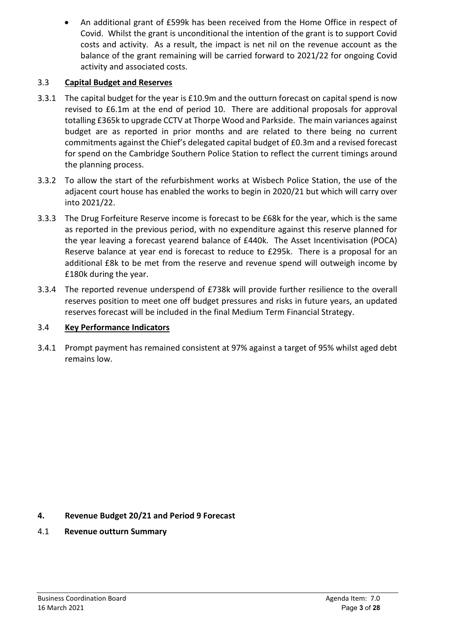• An additional grant of £599k has been received from the Home Office in respect of Covid. Whilst the grant is unconditional the intention of the grant is to support Covid costs and activity. As a result, the impact is net nil on the revenue account as the balance of the grant remaining will be carried forward to 2021/22 for ongoing Covid activity and associated costs.

# 3.3 **Capital Budget and Reserves**

- 3.3.1 The capital budget for the year is £10.9m and the outturn forecast on capital spend is now revised to £6.1m at the end of period 10. There are additional proposals for approval totalling £365k to upgrade CCTV at Thorpe Wood and Parkside. The main variances against budget are as reported in prior months and are related to there being no current commitments against the Chief's delegated capital budget of £0.3m and a revised forecast for spend on the Cambridge Southern Police Station to reflect the current timings around the planning process.
- 3.3.2 To allow the start of the refurbishment works at Wisbech Police Station, the use of the adjacent court house has enabled the works to begin in 2020/21 but which will carry over into 2021/22.
- 3.3.3 The Drug Forfeiture Reserve income is forecast to be £68k for the year, which is the same as reported in the previous period, with no expenditure against this reserve planned for the year leaving a forecast yearend balance of £440k. The Asset Incentivisation (POCA) Reserve balance at year end is forecast to reduce to £295k. There is a proposal for an additional £8k to be met from the reserve and revenue spend will outweigh income by £180k during the year.
- 3.3.4 The reported revenue underspend of £738k will provide further resilience to the overall reserves position to meet one off budget pressures and risks in future years, an updated reserves forecast will be included in the final Medium Term Financial Strategy.

# 3.4 **Key Performance Indicators**

3.4.1 Prompt payment has remained consistent at 97% against a target of 95% whilst aged debt remains low.

# **4. Revenue Budget 20/21 and Period 9 Forecast**

4.1 **Revenue outturn Summary**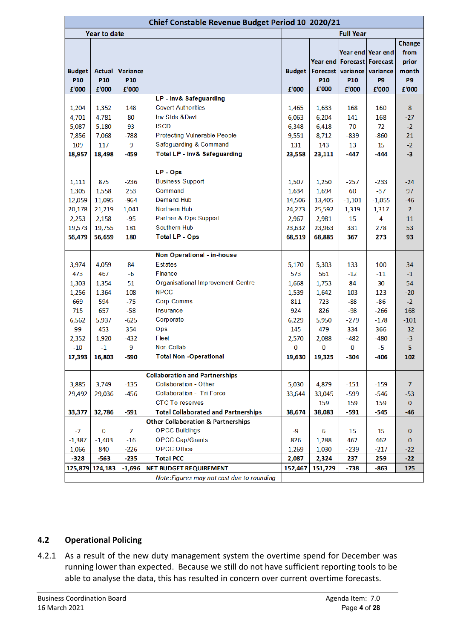| Chief Constable Revenue Budget Period 10 2020/21 |                 |                 |                                               |               |                          |                  |                                                                          |                                  |  |  |
|--------------------------------------------------|-----------------|-----------------|-----------------------------------------------|---------------|--------------------------|------------------|--------------------------------------------------------------------------|----------------------------------|--|--|
|                                                  | Year to date    |                 |                                               |               |                          | <b>Full Year</b> |                                                                          |                                  |  |  |
| <b>Budget</b>                                    | <b>Actual</b>   | Variance        |                                               | <b>Budget</b> | <b>Forecast</b>          |                  | Year end Year end<br>Year end   Forecast   Forecast<br>variance variance | Change<br>from<br>prior<br>month |  |  |
| <b>P10</b>                                       | P <sub>10</sub> | P <sub>10</sub> |                                               | £'000         | P <sub>10</sub><br>£'000 | P10              | P <sub>9</sub>                                                           | P9                               |  |  |
| £'000                                            | £'000           | £'000           | LP - Inv& Safeguarding                        |               |                          | £'000            | £'000                                                                    | £'000                            |  |  |
| 1,204                                            | 1,352           | 148             | <b>Covert Authorities</b>                     | 1,465         | 1,633                    | 168              | 160                                                                      | 8                                |  |  |
| 4,701                                            | 4,781           | 80              | Inv Stds & Devt                               | 6,063         | 6,204                    | 141              | 168                                                                      | $-27$                            |  |  |
| 5,087                                            | 5,180           | 93              | <b>ISCD</b>                                   | 6,348         | 6,418                    | 70               | 72                                                                       | $-2$                             |  |  |
| 7,856                                            | 7,068           | $-788$          | <b>Protecting Vulnerable People</b>           | 9,551         | 8,712                    | $-839$           | $-860$                                                                   | 21                               |  |  |
| 109                                              | 117             | 9               | Safeguarding & Command                        | 131           | 143                      | 13               | 15                                                                       | $-2$                             |  |  |
| 18,957                                           | 18,498          | $-459$          | Total LP - Inv& Safeguarding                  | 23,558        | 23,111                   | -447             | -444                                                                     | -3                               |  |  |
|                                                  |                 |                 |                                               |               |                          |                  |                                                                          |                                  |  |  |
|                                                  |                 |                 | LP - Ops                                      |               |                          |                  |                                                                          |                                  |  |  |
| 1,111                                            | 875             | $-236$          | <b>Business Support</b>                       | 1,507         | 1,250                    | $-257$           | $-233$                                                                   | $-24$                            |  |  |
| 1,305                                            | 1,558           | 253             | Command                                       | 1,634         | 1,694                    | 60               | $-37$                                                                    | 97                               |  |  |
| 12,059                                           | 11,095          | $-964$          | <b>Demand Hub</b>                             | 14,506        | 13,405                   | $-1,101$         | $-1,055$                                                                 | $-46$                            |  |  |
| 20,178                                           | 21,219          | 1,041           | <b>Northern Hub</b>                           | 24,273        | 25,592                   | 1,319            | 1,317                                                                    | $\overline{2}$                   |  |  |
| 2,253                                            | 2,158           | $-95$           | Partner & Ops Support                         | 2,967         | 2,981                    | 15               | 4                                                                        | 11                               |  |  |
| 19,573                                           | 19,755          | 181             | Southern Hub                                  | 23,632        | 23,963                   | 331              | 278                                                                      | 53                               |  |  |
| 56,479                                           | 56,659          | 180             | <b>Total LP - Ops</b>                         | 68,519        | 68,885                   | 367              | 273                                                                      | 93                               |  |  |
|                                                  |                 |                 |                                               |               |                          |                  |                                                                          |                                  |  |  |
|                                                  |                 |                 | Non Operational - in-house                    |               |                          |                  |                                                                          |                                  |  |  |
| 3,974                                            | 4,059           | 84              | <b>Estates</b>                                | 5,170         | 5,303                    | 133              | 100                                                                      | 34                               |  |  |
| 473                                              | 467             | $-6$            | <b>Finance</b>                                | 573           | 561                      | $-12$            | $-11$                                                                    | $-1$                             |  |  |
| 1,303                                            | 1,354           | 51              | Organisational Improvement Centre             | 1,668         | 1,753                    | 84               | 30                                                                       | 54                               |  |  |
| 1,256                                            | 1,364           | 108             | <b>NPCC</b>                                   | 1,539         | 1,642                    | 103              | 123                                                                      | $-20$                            |  |  |
| 669                                              | 594             | $-75$           | <b>Corp Comms</b>                             | 811           | 723                      | -88              | $-86$                                                                    | $-2$                             |  |  |
| 715                                              | 657             | $-58$           | <b>Insurance</b>                              | 924           | 826                      | $-98$            | $-266$                                                                   | 168                              |  |  |
| 6,562                                            | 5,937           | $-625$          | Corporate                                     | 6,229         | 5,950                    | $-279$           | $-178$                                                                   | $-101$                           |  |  |
| 99                                               | 453             | 354             | Ops                                           | 145           | 479                      | 334              | 366                                                                      | $-32$                            |  |  |
| 2,352                                            | 1,920           | $-432$          | Fleet                                         | 2,570         | 2,088                    | $-482$           | $-480$                                                                   | $-3$                             |  |  |
| $-10$                                            | $-1$            | 9               | Non Collab                                    | 0             | 0                        | 0                | -5                                                                       | 5                                |  |  |
| 17,393                                           | 16,803          | -590            | <b>Total Non -Operational</b>                 | 19,630        | 19,325                   | $-304$           | $-406$                                                                   | 102                              |  |  |
|                                                  |                 |                 | <b>Collaboration and Partnerships</b>         |               |                          |                  |                                                                          |                                  |  |  |
| 3,885                                            | 3,749           | $-135$          | <b>Collaboration - Other</b>                  | 5,030         | 4,879                    | $-151$           | $-159$                                                                   | $\overline{7}$                   |  |  |
| 29,492                                           | 29,036          | $-456$          | Collaboration - Tri Force                     | 33,644        | 33,045                   | -599             | $-546$                                                                   | $-53$                            |  |  |
|                                                  |                 |                 | <b>CTC To reserves</b>                        |               | 159                      | 159              | 159                                                                      | $\mathbf{0}$                     |  |  |
| 33,377                                           | 32,786          | $-591$          | <b>Total Collaborated and Partnerships</b>    | 38,674        | 38,083                   | $-591$           | $-545$                                                                   | $-46$                            |  |  |
|                                                  |                 |                 | <b>Other Collaboration &amp; Partnerships</b> |               |                          |                  |                                                                          |                                  |  |  |
| $-7$                                             | 0               | 7               | <b>OPCC Buildings</b>                         | -9            | 6                        | 15               | 15                                                                       | $\bf{0}$                         |  |  |
| $-1,387$                                         | $-1,403$        | $-16$           | <b>OPCC Cap/Grants</b>                        | 826           | 1,288                    | 462              | 462                                                                      | $\bf{0}$                         |  |  |
| 1,066                                            | 840             | $-226$          | <b>OPCC Office</b>                            | 1,269         | 1,030                    | $-239$           | $-217$                                                                   | $-22$                            |  |  |
| $-328$                                           | -563            | -235            | <b>Total PCC</b>                              | 2,087         | 2,324                    | 237              | 259                                                                      | $-22$                            |  |  |
|                                                  | 125,879 124,183 | $-1,696$        | <b>NET BUDGET REQUIREMENT</b>                 | 152,467       | 151,729                  | -738             | $-863$                                                                   | 125                              |  |  |
|                                                  |                 |                 | Note: Figures may not cast due to rounding    |               |                          |                  |                                                                          |                                  |  |  |

# **4.2 Operational Policing**

4.2.1 As a result of the new duty management system the overtime spend for December was running lower than expected. Because we still do not have sufficient reporting tools to be able to analyse the data, this has resulted in concern over current overtime forecasts.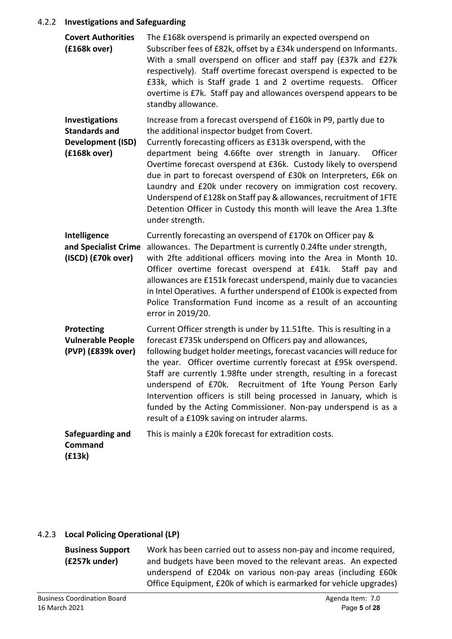#### 4.2.2 **Investigations and Safeguarding**

| <b>Covert Authorities</b><br>(£168k over)                                                 | The £168k overspend is primarily an expected overspend on<br>Subscriber fees of £82k, offset by a £34k underspend on Informants.<br>With a small overspend on officer and staff pay (£37k and £27k<br>respectively). Staff overtime forecast overspend is expected to be<br>£33k, which is Staff grade 1 and 2 overtime requests. Officer<br>overtime is £7k. Staff pay and allowances overspend appears to be<br>standby allowance.                                                                                                                                                                                      |
|-------------------------------------------------------------------------------------------|---------------------------------------------------------------------------------------------------------------------------------------------------------------------------------------------------------------------------------------------------------------------------------------------------------------------------------------------------------------------------------------------------------------------------------------------------------------------------------------------------------------------------------------------------------------------------------------------------------------------------|
| <b>Investigations</b><br><b>Standards and</b><br><b>Development (ISD)</b><br>(£168k over) | Increase from a forecast overspend of £160k in P9, partly due to<br>the additional inspector budget from Covert.<br>Currently forecasting officers as £313k overspend, with the<br>department being 4.66fte over strength in January.<br>Officer<br>Overtime forecast overspend at £36k. Custody likely to overspend<br>due in part to forecast overspend of £30k on Interpreters, £6k on<br>Laundry and £20k under recovery on immigration cost recovery.<br>Underspend of £128k on Staff pay & allowances, recruitment of 1FTE<br>Detention Officer in Custody this month will leave the Area 1.3fte<br>under strength. |
| Intelligence<br>and Specialist Crime<br>(ISCD) (£70k over)                                | Currently forecasting an overspend of £170k on Officer pay &<br>allowances. The Department is currently 0.24fte under strength,<br>with 2fte additional officers moving into the Area in Month 10.<br>Officer overtime forecast overspend at £41k.<br>Staff pay and<br>allowances are £151k forecast underspend, mainly due to vacancies<br>in Intel Operatives. A further underspend of £100k is expected from<br>Police Transformation Fund income as a result of an accounting<br>error in 2019/20.                                                                                                                    |
| <b>Protecting</b><br><b>Vulnerable People</b><br>(PVP) (£839k over)                       | Current Officer strength is under by 11.51fte. This is resulting in a<br>forecast £735k underspend on Officers pay and allowances,<br>following budget holder meetings, forecast vacancies will reduce for<br>the year. Officer overtime currently forecast at £95k overspend.<br>Staff are currently 1.98fte under strength, resulting in a forecast<br>underspend of £70k. Recruitment of 1fte Young Person Early<br>Intervention officers is still being processed in January, which is<br>funded by the Acting Commissioner. Non-pay underspend is as a<br>result of a £109k saving on intruder alarms.               |
| Safeguarding and<br><b>Command</b><br>(£13k)                                              | This is mainly a £20k forecast for extradition costs.                                                                                                                                                                                                                                                                                                                                                                                                                                                                                                                                                                     |

# 4.2.3 **Local Policing Operational (LP)**

**Business Support** Work has been carried out to assess non-pay and income required, **(£257k under)** and budgets have been moved to the relevant areas. An expected underspend of £204k on various non-pay areas (including £60k Office Equipment, £20k of which is earmarked for vehicle upgrades)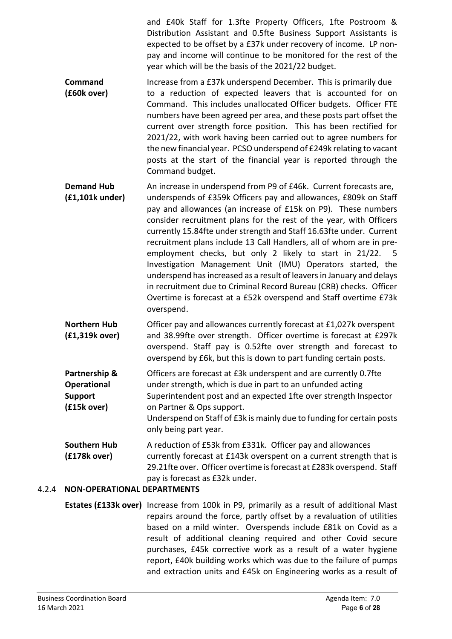and £40k Staff for 1.3fte Property Officers, 1fte Postroom & Distribution Assistant and 0.5fte Business Support Assistants is expected to be offset by a £37k under recovery of income. LP nonpay and income will continue to be monitored for the rest of the year which will be the basis of the 2021/22 budget.

- **Command** Increase from a £37k underspend December.This is primarily due **(£60k over)** to a reduction of expected leavers that is accounted for on Command. This includes unallocated Officer budgets. Officer FTE numbers have been agreed per area, and these posts part offset the current over strength force position. This has been rectified for 2021/22, with work having been carried out to agree numbers for the new financial year. PCSO underspend of £249k relating to vacant posts at the start of the financial year is reported through the Command budget.
- **Demand Hub** An increase in underspend from P9 of £46k. Current forecasts are, **(£1,101k under)** underspends of £359k Officers pay and allowances, £809k on Staff pay and allowances (an increase of £15k on P9). These numbers consider recruitment plans for the rest of the year, with Officers currently 15.84fte under strength and Staff 16.63fte under. Current recruitment plans include 13 Call Handlers, all of whom are in preemployment checks, but only 2 likely to start in 21/22. 5 Investigation Management Unit (IMU) Operators started, the underspend has increased as a result of leavers in January and delays in recruitment due to Criminal Record Bureau (CRB) checks. Officer Overtime is forecast at a £52k overspend and Staff overtime £73k overspend.
- **Northern Hub** Officer pay and allowances currently forecast at £1,027k overspent **(£1,319k over)** and 38.99fte over strength. Officer overtime is forecast at £297k overspend. Staff pay is 0.52fte over strength and forecast to overspend by £6k, but this is down to part funding certain posts.
- **Partnership &** Officers are forecast at £3k underspent and are currently 0.7fte **Operational** under strength, which is due in part to an unfunded acting **Support** Superintendent post and an expected 1fte over strength Inspector **(£15k over)** on Partner & Ops support. Underspend on Staff of £3k is mainly due to funding for certain posts

only being part year.

**Southern Hub** A reduction of £53k from £331k. Officer pay and allowances **(£178k over)** currently forecast at £143k overspent on a current strength that is 29.21fte over. Officer overtime is forecast at £283k overspend. Staff pay is forecast as £32k under.

# 4.2.4 **NON-OPERATIONAL DEPARTMENTS**

**Estates (£133k over)** Increase from 100k in P9, primarily as a result of additional Mast repairs around the force, partly offset by a revaluation of utilities based on a mild winter.Overspends include £81k on Covid as a result of additional cleaning required and other Covid secure purchases, £45k corrective work as a result of a water hygiene report, £40k building works which was due to the failure of pumps and extraction units and £45k on Engineering works as a result of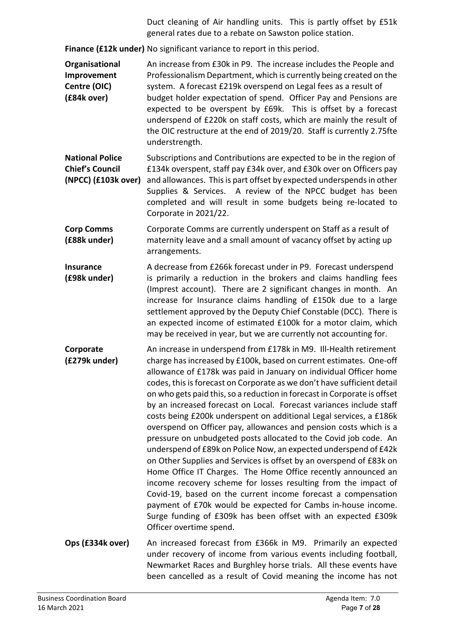Duct cleaning of Air handling units. This is partly offset by £51k general rates due to a rebate on Sawston police station.

**Finance (£12k under)** No significant variance to report in this period.

**Organisational** An increase from £30k in P9. The increase includes the People and **Improvement** Professionalism Department, which is currently being created on the **Centre (OIC)** system. A forecast £219k overspend on Legal fees as a result of **(£84k over)** budget holder expectation of spend. Officer Pay and Pensions are expected to be overspent by £69k. This is offset by a forecast underspend of £220k on staff costs, which are mainly the result of the OIC restructure at the end of 2019/20. Staff is currently 2.75fte understrength.

**National Police** Subscriptions and Contributions are expected to be in the region of **Chief's Council** £134k overspent, staff pay £34k over, and £30k over on Officers pay **(NPCC) (£103k over)** and allowances. This is part offset by expected underspends in other Supplies & Services. A review of the NPCC budget has been completed and will result in some budgets being re-located to Corporate in 2021/22.

- **Corp Comms** Corporate Comms are currently underspent on Staff as a result of **(£88k under)** maternity leave and a small amount of vacancy offset by acting up arrangements.
- **Insurance** A decrease from £266k forecast under in P9.Forecast underspend **(£98k under)** is primarily a reduction in the brokers and claims handling fees (Imprest account). There are 2 significant changes in month. An increase for Insurance claims handling of £150k due to a large settlement approved by the Deputy Chief Constable (DCC). There is an expected income of estimated £100k for a motor claim, which may be received in year, but we are currently not accounting for.
- **Corporate** An increase in underspend from £178k in M9. Ill-Health retirement **(£279k under)** charge has increased by £100k, based on current estimates. One-off allowance of £178k was paid in January on individual Officer home codes, this is forecast on Corporate as we don't have sufficient detail on who gets paid this, so a reduction in forecast in Corporate is offset by an increased forecast on Local. Forecast variances include staff costs being £200k underspent on additional Legal services, a £186k overspend on Officer pay, allowances and pension costs which is a pressure on unbudgeted posts allocated to the Covid job code. An underspend of £89k on Police Now, an expected underspend of £42k on Other Supplies and Services is offset by an overspend of £83k on Home Office IT Charges. The Home Office recently announced an income recovery scheme for losses resulting from the impact of Covid-19, based on the current income forecast a compensation payment of £70k would be expected for Cambs in-house income. Surge funding of £309k has been offset with an expected £309k Officer overtime spend.
- **Ops (£334k over)** An increased forecast from £366k in M9.Primarily an expected under recovery of income from various events including football, Newmarket Races and Burghley horse trials. All these events have been cancelled as a result of Covid meaning the income has not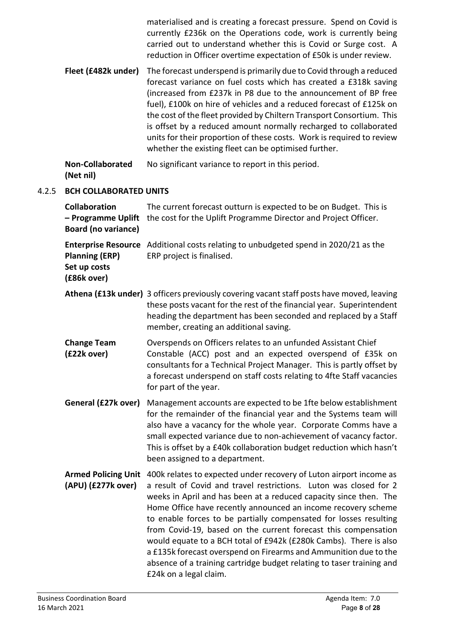|       |                                                                          | materialised and is creating a forecast pressure. Spend on Covid is<br>currently £236k on the Operations code, work is currently being<br>carried out to understand whether this is Covid or Surge cost. A<br>reduction in Officer overtime expectation of £50k is under review.                                                                                                                                                                                                                                                                                                                                                                                 |
|-------|--------------------------------------------------------------------------|------------------------------------------------------------------------------------------------------------------------------------------------------------------------------------------------------------------------------------------------------------------------------------------------------------------------------------------------------------------------------------------------------------------------------------------------------------------------------------------------------------------------------------------------------------------------------------------------------------------------------------------------------------------|
|       | Fleet (£482k under)                                                      | The forecast underspend is primarily due to Covid through a reduced<br>forecast variance on fuel costs which has created a £318k saving<br>(increased from £237k in P8 due to the announcement of BP free<br>fuel), £100k on hire of vehicles and a reduced forecast of £125k on<br>the cost of the fleet provided by Chiltern Transport Consortium. This<br>is offset by a reduced amount normally recharged to collaborated<br>units for their proportion of these costs. Work is required to review<br>whether the existing fleet can be optimised further.                                                                                                   |
|       | <b>Non-Collaborated</b><br>(Net nil)                                     | No significant variance to report in this period.                                                                                                                                                                                                                                                                                                                                                                                                                                                                                                                                                                                                                |
| 4.2.5 | <b>BCH COLLABORATED UNITS</b>                                            |                                                                                                                                                                                                                                                                                                                                                                                                                                                                                                                                                                                                                                                                  |
|       | <b>Collaboration</b><br>- Programme Uplift<br><b>Board (no variance)</b> | The current forecast outturn is expected to be on Budget. This is<br>the cost for the Uplift Programme Director and Project Officer.                                                                                                                                                                                                                                                                                                                                                                                                                                                                                                                             |
|       | <b>Planning (ERP)</b><br>Set up costs<br>(£86k over)                     | Enterprise Resource Additional costs relating to unbudgeted spend in 2020/21 as the<br>ERP project is finalised.                                                                                                                                                                                                                                                                                                                                                                                                                                                                                                                                                 |
|       |                                                                          | Athena (£13k under) 3 officers previously covering vacant staff posts have moved, leaving<br>these posts vacant for the rest of the financial year. Superintendent<br>heading the department has been seconded and replaced by a Staff<br>member, creating an additional saving.                                                                                                                                                                                                                                                                                                                                                                                 |
|       | <b>Change Team</b><br>(£22k over)                                        | Overspends on Officers relates to an unfunded Assistant Chief<br>Constable (ACC) post and an expected overspend of £35k on<br>consultants for a Technical Project Manager. This is partly offset by<br>a forecast underspend on staff costs relating to 4fte Staff vacancies<br>for part of the year.                                                                                                                                                                                                                                                                                                                                                            |
|       | General (£27k over)                                                      | Management accounts are expected to be 1fte below establishment<br>for the remainder of the financial year and the Systems team will<br>also have a vacancy for the whole year. Corporate Comms have a<br>small expected variance due to non-achievement of vacancy factor.<br>This is offset by a £40k collaboration budget reduction which hasn't<br>been assigned to a department.                                                                                                                                                                                                                                                                            |
|       | <b>Armed Policing Unit</b><br>(APU) (£277k over)                         | 400k relates to expected under recovery of Luton airport income as<br>a result of Covid and travel restrictions. Luton was closed for 2<br>weeks in April and has been at a reduced capacity since then. The<br>Home Office have recently announced an income recovery scheme<br>to enable forces to be partially compensated for losses resulting<br>from Covid-19, based on the current forecast this compensation<br>would equate to a BCH total of £942k (£280k Cambs). There is also<br>a £135k forecast overspend on Firearms and Ammunition due to the<br>absence of a training cartridge budget relating to taser training and<br>£24k on a legal claim. |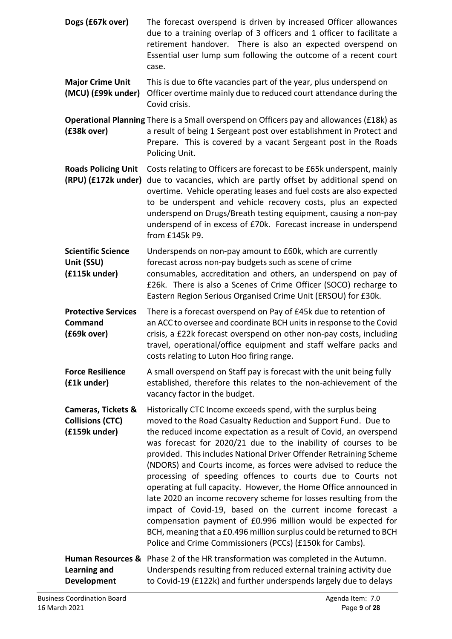- **Dogs (£67k over)** The forecast overspend is driven by increased Officer allowances due to a training overlap of 3 officers and 1 officer to facilitate a retirement handover. There is also an expected overspend on Essential user lump sum following the outcome of a recent court case.
- **Major Crime Unit** This is due to 6fte vacancies part of the year, plus underspend on **(MCU) (£99k under)** Officer overtime mainly due to reduced court attendance during the Covid crisis.

**Operational Planning** There is a Small overspend on Officers pay and allowances (£18k) as **(£38k over)** a result of being 1 Sergeant post over establishment in Protect and Prepare. This is covered by a vacant Sergeant post in the Roads Policing Unit.

**Roads Policing Unit** Costs relating to Officers are forecast to be £65k underspent, mainly **(RPU) (£172k under)** due to vacancies, which are partly offset by additional spend on overtime. Vehicle operating leases and fuel costs are also expected to be underspent and vehicle recovery costs, plus an expected underspend on Drugs/Breath testing equipment, causing a non-pay underspend of in excess of £70k. Forecast increase in underspend from £145k P9.

**Scientific Science** Underspends on non-pay amount to £60k, which are currently **Unit (SSU)** forecast across non-pay budgets such as scene of crime **(£115k under)** consumables, accreditation and others, an underspend on pay of £26k. There is also a Scenes of Crime Officer (SOCO) recharge to Eastern Region Serious Organised Crime Unit (ERSOU) for £30k.

**Protective Services** There is a forecast overspend on Pay of £45k due to retention of **Command** an ACC to oversee and coordinate BCH units in response to the Covid **(£69k over)** crisis, a £22k forecast overspend on other non-pay costs, including travel, operational/office equipment and staff welfare packs and costs relating to Luton Hoo firing range.

Force Resilience A small overspend on Staff pay is forecast with the unit being fully **(£1k under)** established, therefore this relates to the non-achievement of the vacancy factor in the budget.

**Cameras, Tickets &** Historically CTC Income exceeds spend, with the surplus being **Collisions (CTC)** moved to the Road Casualty Reduction and Support Fund. Due to **(£159k under)** the reduced income expectation as a result of Covid, an overspend was forecast for 2020/21 due to the inability of courses to be provided. This includes National Driver Offender Retraining Scheme (NDORS) and Courts income, as forces were advised to reduce the processing of speeding offences to courts due to Courts not operating at full capacity. However, the Home Office announced in late 2020 an income recovery scheme for losses resulting from the impact of Covid-19, based on the current income forecast a compensation payment of £0.996 million would be expected for BCH, meaning that a £0.496 million surplus could be returned to BCH Police and Crime Commissioners (PCCs) (£150k for Cambs).

**Human Resources &** Phase 2 of the HR transformation was completed in the Autumn. **Learning and** Underspends resulting from reduced external training activity due **Development** to Covid-19 (£122k) and further underspends largely due to delays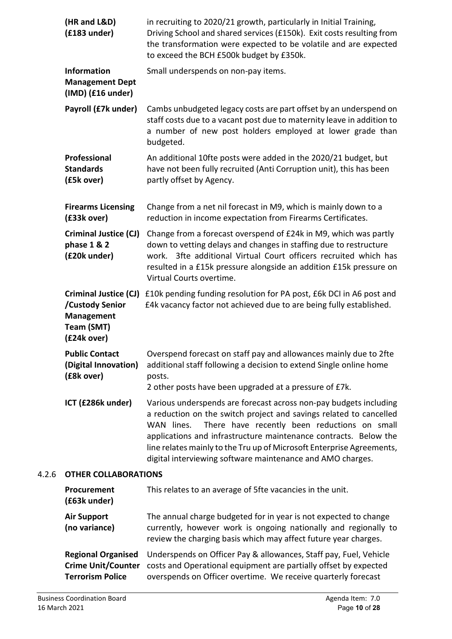| (HR and L&D)<br>$(f183$ under)                                                                    | in recruiting to 2020/21 growth, particularly in Initial Training,<br>Driving School and shared services (£150k). Exit costs resulting from<br>the transformation were expected to be volatile and are expected<br>to exceed the BCH £500k budget by £350k.                                                                                                                                                      |
|---------------------------------------------------------------------------------------------------|------------------------------------------------------------------------------------------------------------------------------------------------------------------------------------------------------------------------------------------------------------------------------------------------------------------------------------------------------------------------------------------------------------------|
| <b>Information</b><br><b>Management Dept</b><br>$(IMD)$ (£16 under)                               | Small underspends on non-pay items.                                                                                                                                                                                                                                                                                                                                                                              |
| Payroll (£7k under)                                                                               | Cambs unbudgeted legacy costs are part offset by an underspend on<br>staff costs due to a vacant post due to maternity leave in addition to<br>a number of new post holders employed at lower grade than<br>budgeted.                                                                                                                                                                                            |
| Professional<br><b>Standards</b><br>(£5k over)                                                    | An additional 10fte posts were added in the 2020/21 budget, but<br>have not been fully recruited (Anti Corruption unit), this has been<br>partly offset by Agency.                                                                                                                                                                                                                                               |
| <b>Firearms Licensing</b><br>(£33k over)                                                          | Change from a net nil forecast in M9, which is mainly down to a<br>reduction in income expectation from Firearms Certificates.                                                                                                                                                                                                                                                                                   |
| <b>Criminal Justice (CJ)</b><br>phase 1 & 2<br>(£20k under)                                       | Change from a forecast overspend of £24k in M9, which was partly<br>down to vetting delays and changes in staffing due to restructure<br>work. 3fte additional Virtual Court officers recruited which has<br>resulted in a £15k pressure alongside an addition £15k pressure on<br>Virtual Courts overtime.                                                                                                      |
| <b>Criminal Justice (CJ)</b><br>/Custody Senior<br><b>Management</b><br>Team (SMT)<br>(£24k over) | £10k pending funding resolution for PA post, £6k DCI in A6 post and<br>£4k vacancy factor not achieved due to are being fully established.                                                                                                                                                                                                                                                                       |
| <b>Public Contact</b><br>(Digital Innovation)<br>(£8k over)                                       | Overspend forecast on staff pay and allowances mainly due to 2fte<br>additional staff following a decision to extend Single online home<br>posts.<br>2 other posts have been upgraded at a pressure of £7k.                                                                                                                                                                                                      |
| ICT (£286k under)                                                                                 | Various underspends are forecast across non-pay budgets including<br>a reduction on the switch project and savings related to cancelled<br>WAN lines.<br>There have recently been reductions on small<br>applications and infrastructure maintenance contracts. Below the<br>line relates mainly to the Tru up of Microsoft Enterprise Agreements,<br>digital interviewing software maintenance and AMO charges. |
| <b>OTHER COLLABORATIONS</b>                                                                       |                                                                                                                                                                                                                                                                                                                                                                                                                  |
| Procurement<br>(£63k under)                                                                       | This relates to an average of 5fte vacancies in the unit.                                                                                                                                                                                                                                                                                                                                                        |
| <b>Air Support</b><br>(no variance)                                                               | The annual charge budgeted for in year is not expected to change<br>currently, however work is ongoing nationally and regionally to<br>review the charging basis which may affect future year charges.                                                                                                                                                                                                           |

**Regional Organised** Underspends on Officer Pay & allowances, Staff pay, Fuel, Vehicle **Crime Unit/Counter** costs and Operational equipment are partially offset by expected **Terrorism Police** overspends on Officer overtime. We receive quarterly forecast

4.2.6 **OTHER COLLABORATIONS**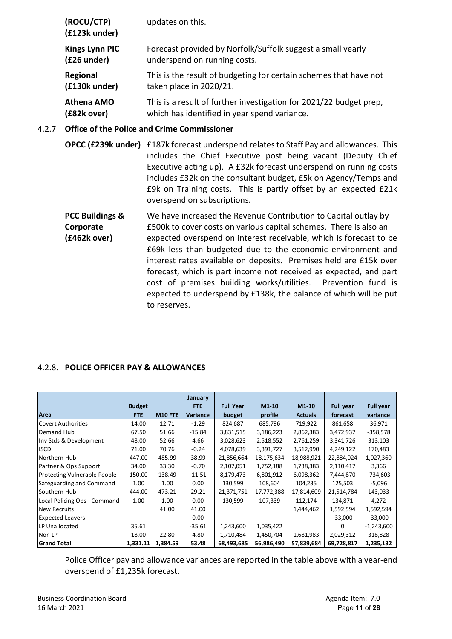| (ROCU/CTP)<br>(£123k under) | updates on this.                                                   |
|-----------------------------|--------------------------------------------------------------------|
| <b>Kings Lynn PIC</b>       | Forecast provided by Norfolk/Suffolk suggest a small yearly        |
| (£26 under)                 | underspend on running costs.                                       |
| Regional                    | This is the result of budgeting for certain schemes that have not  |
| (£130k under)               | taken place in 2020/21.                                            |
| <b>Athena AMO</b>           | This is a result of further investigation for 2021/22 budget prep, |
| (£82k over)                 | which has identified in year spend variance.                       |

## 4.2.7 **Office of the Police and Crime Commissioner**

- **OPCC (£239k under)** £187k forecast underspend relates to Staff Pay and allowances. This includes the Chief Executive post being vacant (Deputy Chief Executive acting up). A £32k forecast underspend on running costs includes £32k on the consultant budget, £5k on Agency/Temps and £9k on Training costs. This is partly offset by an expected £21k overspend on subscriptions.
- **PCC Buildings &** We have increased the Revenue Contribution to Capital outlay by **Corporate E500k to cover costs on various capital schemes. There is also an (£462k over)** expected overspend on interest receivable, which is forecast to be £69k less than budgeted due to the economic environment and interest rates available on deposits. Premises held are £15k over forecast, which is part income not received as expected, and part cost of premises building works/utilities. Prevention fund is expected to underspend by £138k, the balance of which will be put to reserves.

#### 4.2.8. **POLICE OFFICER PAY & ALLOWANCES**

|                                     |               |                | January         |                  |            |                |                  |                  |
|-------------------------------------|---------------|----------------|-----------------|------------------|------------|----------------|------------------|------------------|
|                                     | <b>Budget</b> |                | <b>FTE</b>      | <b>Full Year</b> | $M1-10$    | $M1-10$        | <b>Full year</b> | <b>Full year</b> |
| Area                                | <b>FTE</b>    | <b>M10 FTE</b> | <b>Variance</b> | budget           | profile    | <b>Actuals</b> | forecast         | variance         |
| Covert Authorities                  | 14.00         | 12.71          | $-1.29$         | 824,687          | 685,796    | 719,922        | 861,658          | 36,971           |
| Demand Hub                          | 67.50         | 51.66          | $-15.84$        | 3,831,515        | 3,186,223  | 2,862,383      | 3,472,937        | $-358,578$       |
| Inv Stds & Development              | 48.00         | 52.66          | 4.66            | 3,028,623        | 2,518,552  | 2,761,259      | 3,341,726        | 313,103          |
| <b>ISCD</b>                         | 71.00         | 70.76          | $-0.24$         | 4,078,639        | 3,391,727  | 3,512,990      | 4,249,122        | 170,483          |
| Northern Hub                        | 447.00        | 485.99         | 38.99           | 21,856,664       | 18,175,634 | 18,988,921     | 22,884,024       | 1,027,360        |
| Partner & Ops Support               | 34.00         | 33.30          | $-0.70$         | 2,107,051        | 1,752,188  | 1,738,383      | 2,110,417        | 3,366            |
| <b>Protecting Vulnerable People</b> | 150.00        | 138.49         | $-11.51$        | 8,179,473        | 6,801,912  | 6,098,362      | 7,444,870        | -734,603         |
| Safeguarding and Command            | 1.00          | 1.00           | 0.00            | 130,599          | 108,604    | 104,235        | 125,503          | $-5,096$         |
| Southern Hub                        | 444.00        | 473.21         | 29.21           | 21,371,751       | 17,772,388 | 17,814,609     | 21,514,784       | 143,033          |
| Local Policing Ops - Command        | 1.00          | 1.00           | 0.00            | 130,599          | 107,339    | 112,174        | 134,871          | 4,272            |
| <b>New Recruits</b>                 |               | 41.00          | 41.00           |                  |            | 1,444,462      | 1,592,594        | 1,592,594        |
| <b>Expected Leavers</b>             |               |                | 0.00            |                  |            |                | $-33,000$        | $-33,000$        |
| LP Unallocated                      | 35.61         |                | $-35.61$        | 1,243,600        | 1,035,422  |                | 0                | $-1,243,600$     |
| Non LP                              | 18.00         | 22.80          | 4.80            | 1,710,484        | 1,450,704  | 1,681,983      | 2,029,312        | 318,828          |
| <b>Grand Total</b>                  | 1,331.11      | 1,384.59       | 53.48           | 68,493,685       | 56,986,490 | 57,839,684     | 69,728,817       | 1,235,132        |

Police Officer pay and allowance variances are reported in the table above with a year-end overspend of £1,235k forecast.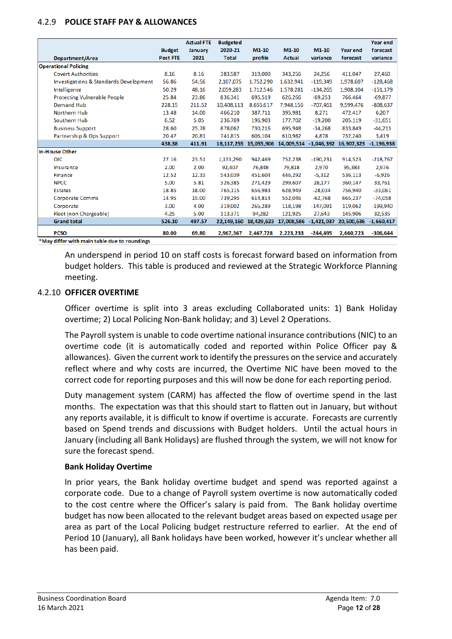#### 4.2.9 **POLICE STAFF PAY & ALLOWANCES**

|                                        |                 | <b>Actual FTE</b> | <b>Budgeted</b> |            |               |                         |                 | Year end     |
|----------------------------------------|-----------------|-------------------|-----------------|------------|---------------|-------------------------|-----------------|--------------|
|                                        | <b>Budget</b>   | January           | 2020-21         | $M1-10$    | $M1-10$       | $M1-10$                 | <b>Year end</b> | forecast     |
| Department/Area                        | <b>Post FTE</b> | 2021              | <b>Total</b>    | profile    | <b>Actual</b> | variance                | forecast        | variance     |
| <b>Operational Policing</b>            |                 |                   |                 |            |               |                         |                 |              |
| <b>Covert Authorities</b>              | 8.16            | 8.16              | 383,587         | 319,000    | 343,256       | 24,256                  | 411,047         | 27,460       |
| Investigations & Standards Development | 56.86           | 54.56             | 2.107.075       | 1,752,290  | 1,632,941     | $-119.349$              | 1.978.607       | $-128,468$   |
| Intelligence                           | 50.29           | 48.16             | 2,059,283       | 1,712,546  | 1,578,281     | $-134,265$              | 1,908,104       | $-151,179$   |
| Protecting Vulnerable People           | 25.84           | 23.86             | 836,341         | 695,519    | 626,266       | $-69,253$               | 766,464         | $-69,877$    |
| Demand Hub                             | 228.15          | 211.52            | 10,408,113      | 8,655,617  | 7,948,156     | $-707,461$              | 9,599,476       | $-808,637$   |
| Northern Hub                           | 13.48           | 14.00             | 466,210         | 387,711    | 395,981       | 8,271                   | 472,417         | 6,207        |
| Southern Hub                           | 6.52            | 5.05              | 236.769         | 196,903    | 177.702       | $-19.200$               | 205.119         | $-31,651$    |
| <b>Business Support</b>                | 28.60           | 25.78             | 878.062         | 730.216    | 695.948       | $-34,268$               | 833.849         | $-44,213$    |
| Partnership & Ops Support              | 20.47           | 20.81             | 741.815         | 606.104    | 610.982       | 4,878                   | 732,240         | 3,419        |
|                                        | 438.38          | 411.91            | 18,117,255      | 15.055.906 | 14,009,514    | $-1,046,392$ 16,907,323 |                 | $-1,196,938$ |
| <b>In-House Other</b>                  |                 |                   |                 |            |               |                         |                 |              |
| <b>OIC</b>                             | 27.16           | 23.51             | 1,133,290       | 942,469    | 752,238       | $-190,231$              | 914,523         | $-218,767$   |
| Insurance                              | 2.00            | 2.00              | 92,407          | 76,848     | 79,818        | 2,970                   | 95,383          | 2,976        |
| Finance                                | 12.52           | 12.33             | 543,039         | 451.604    | 446,292       | $-5,312$                | 536,113         | $-6,926$     |
| <b>NPCC</b>                            | 5.00            | 5.81              | 326,385         | 271,429    | 299,607       | 28,177                  | 360,147         | 33,761       |
| <b>Estates</b>                         | 18.85           | 18.00             | 765,115         | 656,983    | 628,949       | $-28,034$               | 756,940         | $-33,061$    |
| Corporate Comms                        | 14.95           | 15.00             | 739,295         | 614,814    | 552,046       | $-62,768$               | 665,237         | $-74,058$    |
| Corporate                              | 3.00            | 4.00              | 319,002         | 265,289    | 118,198       | $-147,091$              | 119,062         | $-199,940$   |
| Fleet (non Chargeable)                 | 4.25            | 5.00              | 113,371         | 94,282     | 121,925       | 27,643                  | 145,906         | 32,535       |
| <b>Grand total</b>                     | 526.10          | 497.57            | 22,149,160      | 18,429,623 | 17,008,586    | $-1,421,037$            | 20,500,636      | $-1,660,417$ |
| <b>PCSO</b>                            | 80.00           | 69.80             | 2,967,367       | 2,467,728  | 2,223,233     | $-244,495$              | 2,660,723       | $-306,644$   |

An underspend in period 10 on staff costs is forecast forward based on information from budget holders. This table is produced and reviewed at the Strategic Workforce Planning meeting.

#### 4.2.10 **OFFICER OVERTIME**

Officer overtime is split into 3 areas excluding Collaborated units: 1) Bank Holiday overtime; 2) Local Policing Non-Bank holiday; and 3) Level 2 Operations.

The Payroll system is unable to code overtime national insurance contributions (NIC) to an overtime code (it is automatically coded and reported within Police Officer pay & allowances). Given the current work to identify the pressures on the service and accurately reflect where and why costs are incurred, the Overtime NIC have been moved to the correct code for reporting purposes and this will now be done for each reporting period.

Duty management system (CARM) has affected the flow of overtime spend in the last months. The expectation was that this should start to flatten out in January, but without any reports available, it is difficult to know if overtime is accurate. Forecasts are currently based on Spend trends and discussions with Budget holders. Until the actual hours in January (including all Bank Holidays) are flushed through the system, we will not know for sure the forecast spend.

#### **Bank Holiday Overtime**

In prior years, the Bank holiday overtime budget and spend was reported against a corporate code. Due to a change of Payroll system overtime is now automatically coded to the cost centre where the Officer's salary is paid from. The Bank holiday overtime budget has now been allocated to the relevant budget areas based on expected usage per area as part of the Local Policing budget restructure referred to earlier. At the end of Period 10 (January), all Bank holidays have been worked, however it's unclear whether all has been paid.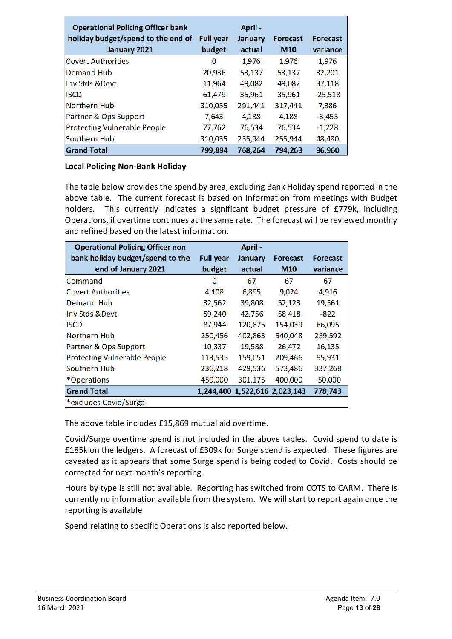| <b>Operational Policing Officer bank</b> |                  | April - |                 |                 |
|------------------------------------------|------------------|---------|-----------------|-----------------|
| holiday budget/spend to the end of       | <b>Full year</b> | January | <b>Forecast</b> | <b>Forecast</b> |
| January 2021                             | budget           | actual  | M <sub>10</sub> | variance        |
| <b>Covert Authorities</b>                | 0                | 1,976   | 1,976           | 1,976           |
| <b>Demand Hub</b>                        | 20,936           | 53,137  | 53,137          | 32,201          |
| Inv Stds & Devt                          | 11,964           | 49,082  | 49,082          | 37,118          |
| <b>ISCD</b>                              | 61,479           | 35,961  | 35,961          | $-25,518$       |
| Northern Hub                             | 310,055          | 291,441 | 317,441         | 7,386           |
| Partner & Ops Support                    | 7,643            | 4,188   | 4,188           | $-3,455$        |
| <b>Protecting Vulnerable People</b>      | 77,762           | 76,534  | 76,534          | $-1,228$        |
| Southern Hub                             | 310,055          | 255,944 | 255,944         | 48,480          |
| <b>Grand Total</b>                       | 799,894          | 768,264 | 794,263         | 96,960          |

#### **Local Policing Non-Bank Holiday**

The table below provides the spend by area, excluding Bank Holiday spend reported in the above table. The current forecast is based on information from meetings with Budget holders. This currently indicates a significant budget pressure of £779k, including Operations, if overtime continues at the same rate. The forecast will be reviewed monthly and refined based on the latest information.

| <b>Operational Policing Officer non</b> |                  | April -                       |                 |                 |
|-----------------------------------------|------------------|-------------------------------|-----------------|-----------------|
| bank holiday budget/spend to the        | <b>Full year</b> | January                       | Forecast        | <b>Forecast</b> |
| end of January 2021                     | budget           | actual                        | M <sub>10</sub> | variance        |
| Command                                 | 0                | 67                            | 67              | 67              |
| <b>Covert Authorities</b>               | 4,108            | 6,895                         | 9,024           | 4,916           |
| Demand Hub                              | 32,562           | 39,808                        | 52,123          | 19,561          |
| Inv Stds & Devt                         | 59,240           | 42,756                        | 58,418          | -822            |
| <b>ISCD</b>                             | 87,944           | 120,875                       | 154.039         | 66,095          |
| Northern Hub                            | 250,456          | 402,863                       | 540,048         | 289,592         |
| Partner & Ops Support                   | 10,337           | 19,588                        | 26.472          | 16,135          |
| <b>Protecting Vulnerable People</b>     | 113,535          | 159,051                       | 209,466         | 95,931          |
| Southern Hub                            | 236,218          | 429,536                       | 573,486         | 337,268         |
| *Operations                             | 450,000          | 301,175                       | 400,000         | $-50,000$       |
| <b>Grand Total</b>                      |                  | 1,244,400 1,522,616 2,023,143 |                 | 778,743         |
| *excludes Covid/Surge                   |                  |                               |                 |                 |

The above table includes £15,869 mutual aid overtime.

Covid/Surge overtime spend is not included in the above tables. Covid spend to date is £185k on the ledgers. A forecast of £309k for Surge spend is expected. These figures are caveated as it appears that some Surge spend is being coded to Covid. Costs should be corrected for next month's reporting.

Hours by type is still not available. Reporting has switched from COTS to CARM. There is currently no information available from the system. We will start to report again once the reporting is available

Spend relating to specific Operations is also reported below.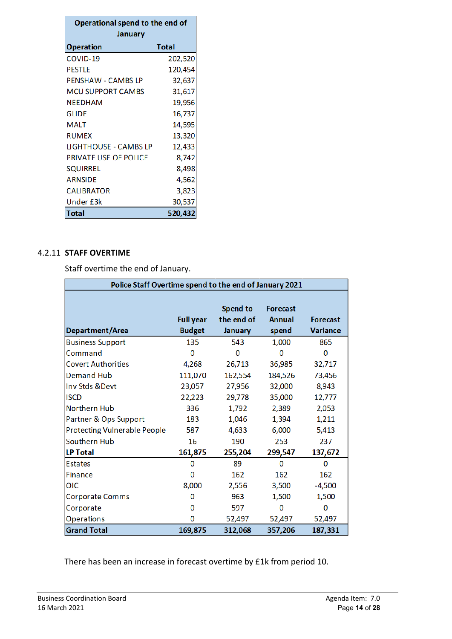| Operational spend to the end of |              |  |  |  |  |  |  |  |
|---------------------------------|--------------|--|--|--|--|--|--|--|
| January                         |              |  |  |  |  |  |  |  |
| <b>Operation</b>                | <b>Total</b> |  |  |  |  |  |  |  |
| COVID-19                        | 202,520      |  |  |  |  |  |  |  |
| <b>PESTLE</b>                   | 120,454      |  |  |  |  |  |  |  |
| <b>PENSHAW - CAMBS LP</b>       | 32,637       |  |  |  |  |  |  |  |
| <b>MCU SUPPORT CAMBS</b>        | 31,617       |  |  |  |  |  |  |  |
| <b>NEEDHAM</b>                  | 19,956       |  |  |  |  |  |  |  |
| <b>GLIDE</b>                    | 16,737       |  |  |  |  |  |  |  |
| <b>MALT</b>                     | 14,595       |  |  |  |  |  |  |  |
| <b>RUMEX</b>                    | 13,320       |  |  |  |  |  |  |  |
| <b>LIGHTHOUSE - CAMBS LP</b>    | 12,433       |  |  |  |  |  |  |  |
| PRIVATE USE OF POLICE           | 8,742        |  |  |  |  |  |  |  |
| <b>SQUIRREL</b>                 | 8,498        |  |  |  |  |  |  |  |
| <b>ARNSIDE</b>                  | 4,562        |  |  |  |  |  |  |  |
| <b>CALIBRATOR</b>               | 3,823        |  |  |  |  |  |  |  |
| Under £3k                       | 30,537       |  |  |  |  |  |  |  |
| Total                           | 520,432      |  |  |  |  |  |  |  |

#### 4.2.11 **STAFF OVERTIME**

Staff overtime the end of January.

| Police Staff Overtime spend to the end of January 2021 |                                   |                                   |                                    |                                    |  |  |  |  |  |  |
|--------------------------------------------------------|-----------------------------------|-----------------------------------|------------------------------------|------------------------------------|--|--|--|--|--|--|
| Department/Area                                        | <b>Full year</b><br><b>Budget</b> | Spend to<br>the end of<br>January | <b>Forecast</b><br>Annual<br>spend | <b>Forecast</b><br><b>Variance</b> |  |  |  |  |  |  |
| <b>Business Support</b>                                | 135                               | 543                               | 1,000                              | 865                                |  |  |  |  |  |  |
| Command                                                | 0                                 | 0                                 | 0                                  | 0                                  |  |  |  |  |  |  |
| <b>Covert Authorities</b>                              | 4,268                             | 26,713                            | 36,985                             | 32,717                             |  |  |  |  |  |  |
| <b>Demand Hub</b>                                      | 111,070                           | 162,554                           | 184,526                            | 73,456                             |  |  |  |  |  |  |
| Inv Stds &Devt                                         | 23,057                            | 27,956                            | 32,000                             | 8,943                              |  |  |  |  |  |  |
| <b>ISCD</b>                                            | 22,223                            | 29,778                            | 35,000                             | 12,777                             |  |  |  |  |  |  |
| <b>Northern Hub</b>                                    | 336                               | 1,792                             | 2,389                              | 2,053                              |  |  |  |  |  |  |
| Partner & Ops Support                                  | 183                               | 1,046                             | 1,394                              | 1,211                              |  |  |  |  |  |  |
| <b>Protecting Vulnerable People</b>                    | 587                               | 4,633                             | 6,000                              | 5,413                              |  |  |  |  |  |  |
| Southern Hub                                           | 16                                | 190                               | 253                                | 237                                |  |  |  |  |  |  |
| <b>LP Total</b>                                        | 161,875                           | 255,204                           | 299,547                            | 137,672                            |  |  |  |  |  |  |
| <b>Estates</b>                                         | 0                                 | 89                                | 0                                  | 0                                  |  |  |  |  |  |  |
| <b>Finance</b>                                         | 0                                 | 162                               | 162                                | 162                                |  |  |  |  |  |  |
| OIC                                                    | 8,000                             | 2,556                             | 3,500                              | $-4,500$                           |  |  |  |  |  |  |
| <b>Corporate Comms</b>                                 | 0                                 | 963                               | 1,500                              | 1,500                              |  |  |  |  |  |  |
| Corporate                                              | 0                                 | 597                               | o                                  | 0                                  |  |  |  |  |  |  |
| <b>Operations</b>                                      | 0                                 | 52,497                            | 52,497                             | 52,497                             |  |  |  |  |  |  |
| <b>Grand Total</b>                                     | 169,875                           | 312,068                           | 357,206                            | 187,331                            |  |  |  |  |  |  |

There has been an increase in forecast overtime by £1k from period 10.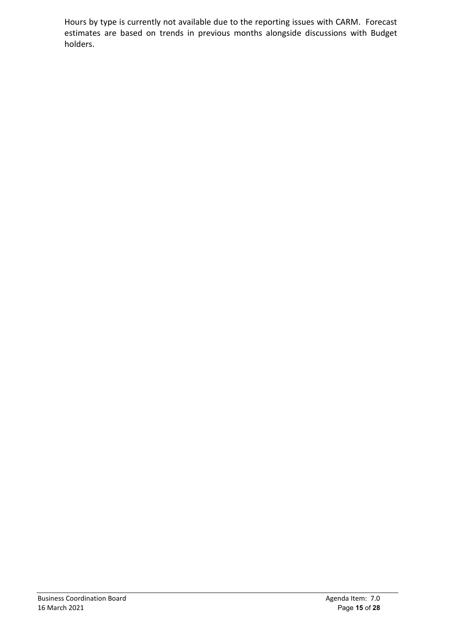Hours by type is currently not available due to the reporting issues with CARM. Forecast estimates are based on trends in previous months alongside discussions with Budget holders.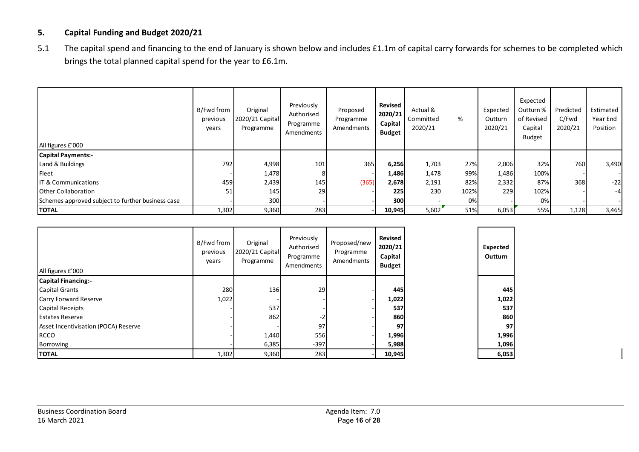## **5. Capital Funding and Budget 2020/21**

5.1 The capital spend and financing to the end of January is shown below and includes £1.1m of capital carry forwards for schemes to be completed which brings the total planned capital spend for the year to £6.1m.

| All figures £'000                                 | B/Fwd from<br>previous<br>years | Original<br>2020/21 Capital<br>Programme | Previously<br>Authorised<br>Programme<br>Amendments | Proposed<br>Programme<br>Amendments | Revised<br>2020/21<br>Capital<br><b>Budget</b> | Actual &<br>Committed<br>2020/21 | %    | Expected<br>Outturn<br>2020/21 | Expected<br>Outturn %<br>of Revised<br>Capital<br><b>Budget</b> | Predicted<br>C/Fwd<br>2020/21 | Estimated<br>Year End<br>Position |
|---------------------------------------------------|---------------------------------|------------------------------------------|-----------------------------------------------------|-------------------------------------|------------------------------------------------|----------------------------------|------|--------------------------------|-----------------------------------------------------------------|-------------------------------|-----------------------------------|
| <b>Capital Payments:-</b>                         |                                 |                                          |                                                     |                                     |                                                |                                  |      |                                |                                                                 |                               |                                   |
| Land & Buildings                                  | 792                             | 4,998                                    | 101                                                 | 365                                 | 6,256                                          | 1,703                            | 27%  | 2,006                          | 32%                                                             | 760                           | 3,490                             |
| Fleet                                             |                                 | 1,478                                    | 8                                                   |                                     | 1,486                                          | 1,478                            | 99%  | 1,486                          | 100%                                                            |                               |                                   |
| <b>IT &amp; Communications</b>                    | 459                             | 2,439                                    | 145                                                 | (365)                               | 2,678                                          | 2,191                            | 82%  | 2,332                          | 87%                                                             | 368                           | $-22$                             |
| <b>Other Collaboration</b>                        | 51                              | 145                                      | 29                                                  |                                     | 225                                            | 230                              | 102% | 229                            | 102%                                                            |                               | $-4$                              |
| Schemes approved subject to further business case |                                 | 300                                      |                                                     |                                     | <b>300l</b>                                    |                                  | 0%   |                                | 0%                                                              |                               |                                   |
| <b>TOTAL</b>                                      | 1,302                           | 9,360                                    | 283                                                 |                                     | 10,945                                         | 5,602                            | 51%  | 6,053                          | 55%                                                             | 1,128                         | 3,465                             |

| All figures £'000                    | B/Fwd from<br>previous<br>years | Previously<br>Original<br>Authorised<br>2020/21 Capital<br>Programme<br>Programme<br>Programme<br>Amendments |        | Proposed/new<br>Amendments | Revised<br>2020/21<br>Capital<br><b>Budget</b> |  |       |
|--------------------------------------|---------------------------------|--------------------------------------------------------------------------------------------------------------|--------|----------------------------|------------------------------------------------|--|-------|
| <b>Capital Financing:-</b>           |                                 |                                                                                                              |        |                            |                                                |  |       |
| <b>Capital Grants</b>                | 280                             | 136                                                                                                          | 29     |                            | 445                                            |  | 445   |
| <b>Carry Forward Reserve</b>         | 1,022                           |                                                                                                              |        |                            | 1,022                                          |  | 1,022 |
| <b>Capital Receipts</b>              |                                 | 537                                                                                                          |        |                            | 537                                            |  | 537   |
| <b>Estates Reserve</b>               |                                 | 862                                                                                                          | $-2$   |                            | 860                                            |  | 860   |
| Asset Incentivisation (POCA) Reserve |                                 |                                                                                                              | 97     |                            | 97                                             |  | 97    |
| <b>RCCO</b>                          |                                 | 1,440                                                                                                        | 556    |                            | 1,996                                          |  | 1,996 |
| Borrowing                            |                                 | 6,385                                                                                                        | $-397$ |                            | 5,988                                          |  | 1,096 |
| <b>TOTAL</b>                         | 1,302                           | 9,360                                                                                                        | 283    |                            | 10,945                                         |  | 6,053 |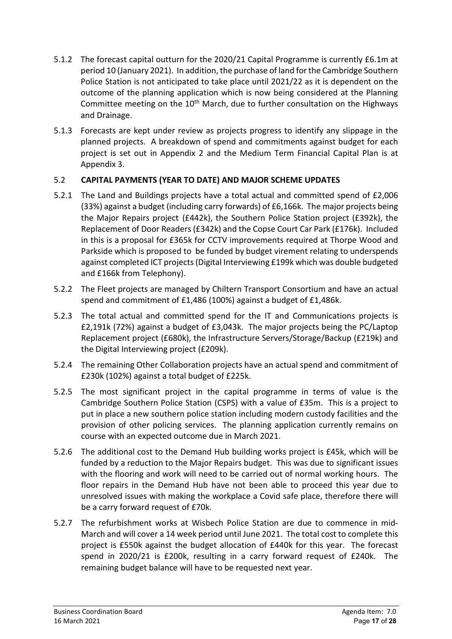- 5.1.2 The forecast capital outturn for the 2020/21 Capital Programme is currently £6.1m at period 10 (January 2021). In addition, the purchase of land for the Cambridge Southern Police Station is not anticipated to take place until 2021/22 as it is dependent on the outcome of the planning application which is now being considered at the Planning Committee meeting on the  $10<sup>th</sup>$  March, due to further consultation on the Highways and Drainage.
- 5.1.3 Forecasts are kept under review as projects progress to identify any slippage in the planned projects. A breakdown of spend and commitments against budget for each project is set out in Appendix 2 and the Medium Term Financial Capital Plan is at Appendix 3.

# 5.2 **CAPITAL PAYMENTS (YEAR TO DATE) AND MAJOR SCHEME UPDATES**

- 5.2.1 The Land and Buildings projects have a total actual and committed spend of £2,006 (33%) against a budget (including carry forwards) of £6,166k. The major projects being the Major Repairs project (£442k), the Southern Police Station project (£392k), the Replacement of Door Readers (£342k) and the Copse Court Car Park (£176k). Included in this is a proposal for £365k for CCTV improvements required at Thorpe Wood and Parkside which is proposed to be funded by budget virement relating to underspends against completed ICT projects (Digital Interviewing £199k which was double budgeted and £166k from Telephony).
- 5.2.2 The Fleet projects are managed by Chiltern Transport Consortium and have an actual spend and commitment of £1,486 (100%) against a budget of £1,486k.
- 5.2.3 The total actual and committed spend for the IT and Communications projects is £2,191k (72%) against a budget of £3,043k. The major projects being the PC/Laptop Replacement project (£680k), the Infrastructure Servers/Storage/Backup (£219k) and the Digital Interviewing project (£209k).
- 5.2.4 The remaining Other Collaboration projects have an actual spend and commitment of £230k (102%) against a total budget of £225k.
- 5.2.5 The most significant project in the capital programme in terms of value is the Cambridge Southern Police Station (CSPS) with a value of £35m. This is a project to put in place a new southern police station including modern custody facilities and the provision of other policing services. The planning application currently remains on course with an expected outcome due in March 2021.
- 5.2.6 The additional cost to the Demand Hub building works project is £45k, which will be funded by a reduction to the Major Repairs budget. This was due to significant issues with the flooring and work will need to be carried out of normal working hours. The floor repairs in the Demand Hub have not been able to proceed this year due to unresolved issues with making the workplace a Covid safe place, therefore there will be a carry forward request of £70k.
- 5.2.7 The refurbishment works at Wisbech Police Station are due to commence in mid-March and will cover a 14 week period until June 2021. The total cost to complete this project is £550k against the budget allocation of £440k for this year. The forecast spend in 2020/21 is £200k, resulting in a carry forward request of £240k. The remaining budget balance will have to be requested next year.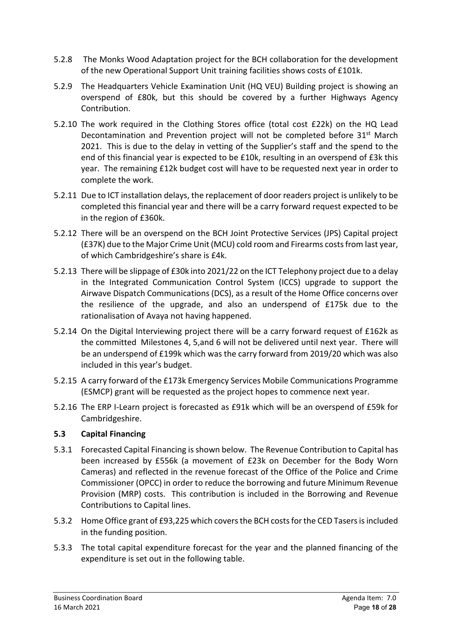- 5.2.8 The Monks Wood Adaptation project for the BCH collaboration for the development of the new Operational Support Unit training facilities shows costs of £101k.
- 5.2.9 The Headquarters Vehicle Examination Unit (HQ VEU) Building project is showing an overspend of £80k, but this should be covered by a further Highways Agency Contribution.
- 5.2.10 The work required in the Clothing Stores office (total cost £22k) on the HQ Lead Decontamination and Prevention project will not be completed before 31<sup>st</sup> March 2021. This is due to the delay in vetting of the Supplier's staff and the spend to the end of this financial year is expected to be £10k, resulting in an overspend of £3k this year. The remaining £12k budget cost will have to be requested next year in order to complete the work.
- 5.2.11 Due to ICT installation delays, the replacement of door readers project is unlikely to be completed this financial year and there will be a carry forward request expected to be in the region of £360k.
- 5.2.12 There will be an overspend on the BCH Joint Protective Services (JPS) Capital project (£37K) due to the Major Crime Unit (MCU) cold room and Firearms costs from last year, of which Cambridgeshire's share is £4k.
- 5.2.13 There will be slippage of £30k into 2021/22 on the ICT Telephony project due to a delay in the Integrated Communication Control System (ICCS) upgrade to support the Airwave Dispatch Communications (DCS), as a result of the Home Office concerns over the resilience of the upgrade, and also an underspend of £175k due to the rationalisation of Avaya not having happened.
- 5.2.14 On the Digital Interviewing project there will be a carry forward request of £162k as the committed Milestones 4, 5,and 6 will not be delivered until next year. There will be an underspend of £199k which was the carry forward from 2019/20 which was also included in this year's budget.
- 5.2.15 A carry forward of the £173k Emergency Services Mobile Communications Programme (ESMCP) grant will be requested as the project hopes to commence next year.
- 5.2.16 The ERP I-Learn project is forecasted as £91k which will be an overspend of £59k for Cambridgeshire.

# **5.3 Capital Financing**

- 5.3.1 Forecasted Capital Financing is shown below. The Revenue Contribution to Capital has been increased by £556k (a movement of £23k on December for the Body Worn Cameras) and reflected in the revenue forecast of the Office of the Police and Crime Commissioner (OPCC) in order to reduce the borrowing and future Minimum Revenue Provision (MRP) costs. This contribution is included in the Borrowing and Revenue Contributions to Capital lines.
- 5.3.2 Home Office grant of £93,225 which covers the BCH costs for the CED Tasers is included in the funding position.
- 5.3.3 The total capital expenditure forecast for the year and the planned financing of the expenditure is set out in the following table.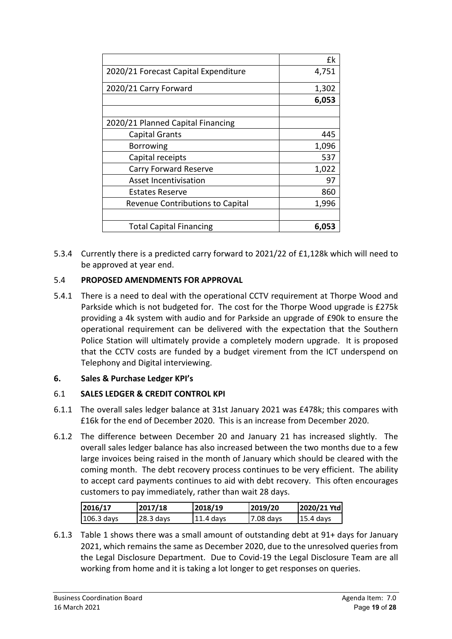|                                      | £k    |
|--------------------------------------|-------|
| 2020/21 Forecast Capital Expenditure | 4,751 |
| 2020/21 Carry Forward                | 1,302 |
|                                      | 6,053 |
|                                      |       |
| 2020/21 Planned Capital Financing    |       |
| <b>Capital Grants</b>                | 445   |
| <b>Borrowing</b>                     | 1,096 |
| Capital receipts                     | 537   |
| <b>Carry Forward Reserve</b>         | 1,022 |
| <b>Asset Incentivisation</b>         | 97    |
| Estates Reserve                      | 860   |
| Revenue Contributions to Capital     | 1,996 |
|                                      |       |
| <b>Total Capital Financing</b>       | 6,053 |

5.3.4 Currently there is a predicted carry forward to 2021/22 of £1,128k which will need to be approved at year end.

# 5.4 **PROPOSED AMENDMENTS FOR APPROVAL**

5.4.1 There is a need to deal with the operational CCTV requirement at Thorpe Wood and Parkside which is not budgeted for. The cost for the Thorpe Wood upgrade is £275k providing a 4k system with audio and for Parkside an upgrade of £90k to ensure the operational requirement can be delivered with the expectation that the Southern Police Station will ultimately provide a completely modern upgrade. It is proposed that the CCTV costs are funded by a budget virement from the ICT underspend on Telephony and Digital interviewing.

# **6. Sales & Purchase Ledger KPI's**

# 6.1 **SALES LEDGER & CREDIT CONTROL KPI**

- 6.1.1 The overall sales ledger balance at 31st January 2021 was £478k; this compares with £16k for the end of December 2020. This is an increase from December 2020.
- 6.1.2 The difference between December 20 and January 21 has increased slightly. The overall sales ledger balance has also increased between the two months due to a few large invoices being raised in the month of January which should be cleared with the coming month. The debt recovery process continues to be very efficient. The ability to accept card payments continues to aid with debt recovery. This often encourages customers to pay immediately, rather than wait 28 days.

| 2016/17      | 2017/18     | 2018/19    | 2019/20   | 2020/21 Ytd           |
|--------------|-------------|------------|-----------|-----------------------|
| $106.3$ days | $28.3$ days | 111.4 davs | 7.08 days | $ 15.4 \text{ days} $ |

6.1.3 Table 1 shows there was a small amount of outstanding debt at 91+ days for January 2021, which remains the same as December 2020, due to the unresolved queries from the Legal Disclosure Department. Due to Covid-19 the Legal Disclosure Team are all working from home and it is taking a lot longer to get responses on queries.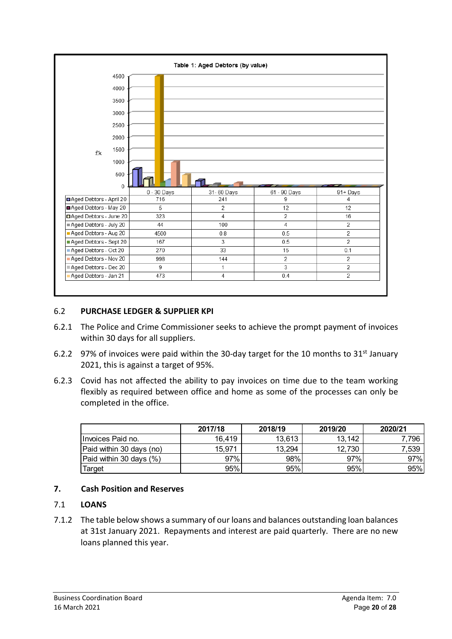

## 6.2 **PURCHASE LEDGER & SUPPLIER KPI**

- 6.2.1 The Police and Crime Commissioner seeks to achieve the prompt payment of invoices within 30 days for all suppliers.
- 6.2.2 97% of invoices were paid within the 30-day target for the 10 months to  $31<sup>st</sup>$  January 2021, this is against a target of 95%.
- 6.2.3 Covid has not affected the ability to pay invoices on time due to the team working flexibly as required between office and home as some of the processes can only be completed in the office.

|                          | 2017/18 | 2018/19 | 2019/20 | 2020/21 |
|--------------------------|---------|---------|---------|---------|
| Invoices Paid no.        | 16.419  | 13,613  | 13,142  | 7,796   |
| Paid within 30 days (no) | 15.971  | 13,294  | 12,730  | 7,539   |
| Paid within 30 days (%)  | 97%     | 98%     | 97%     | 97%     |
| Target                   | 95%     | 95%     | 95%     | 95%     |

# **7. Cash Position and Reserves**

#### 7.1 **LOANS**

7.1.2 The table below shows a summary of our loans and balances outstanding loan balances at 31st January 2021. Repayments and interest are paid quarterly. There are no new loans planned this year.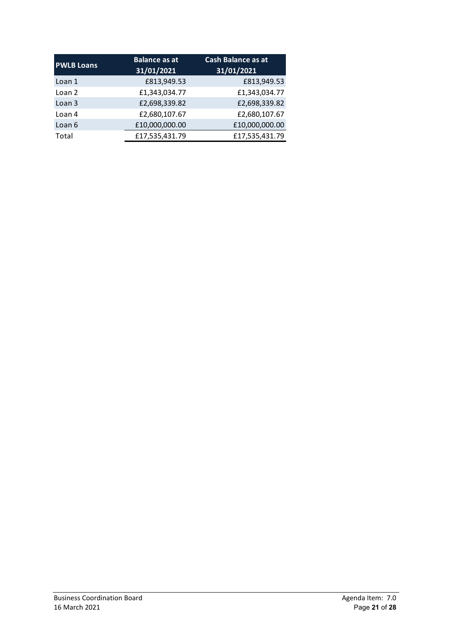| <b>PWLB Loans</b> | <b>Balance as at</b><br>31/01/2021 | <b>Cash Balance as at</b><br>31/01/2021 |
|-------------------|------------------------------------|-----------------------------------------|
| Loan 1            | £813,949.53                        | £813,949.53                             |
| Loan 2            | £1,343,034.77                      | £1,343,034.77                           |
| Loan <sub>3</sub> | £2,698,339.82                      | £2,698,339.82                           |
| Loan 4            | £2,680,107.67                      | £2,680,107.67                           |
| Loan 6            | £10,000,000.00                     | £10,000,000.00                          |
| Total             | £17,535,431.79                     | £17,535,431.79                          |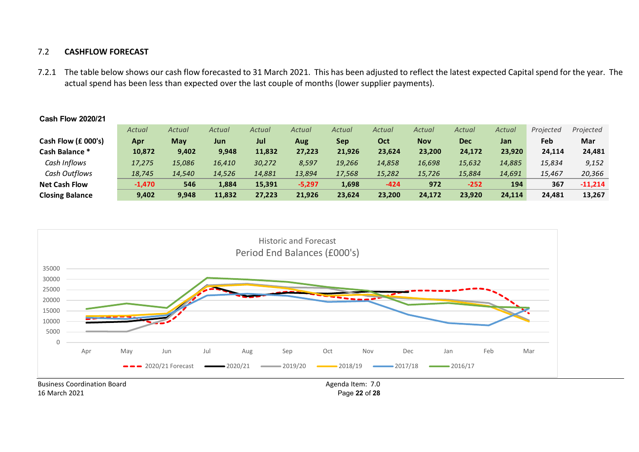#### 7.2 **CASHFLOW FORECAST**

7.2.1 The table below shows our cash flow forecasted to 31 March 2021. This has been adjusted to reflect the latest expected Capital spend for the year. The actual spend has been less than expected over the last couple of months (lower supplier payments).

|                        | Actual   | Actual | Actual | Actual | Actual   | Actual | Actual     | Actual     | Actual     | Actual | Projected | Projected |
|------------------------|----------|--------|--------|--------|----------|--------|------------|------------|------------|--------|-----------|-----------|
| Cash Flow (£ 000's)    | Apr      | May    | Jun    | Jul    | Aug      | Sep    | <b>Oct</b> | <b>Nov</b> | <b>Dec</b> | Jan    | Feb       | Mar       |
| Cash Balance *         | 10,872   | 9,402  | 9,948  | 11,832 | 27,223   | 21,926 | 23,624     | 23,200     | 24,172     | 23,920 | 24,114    | 24,481    |
| Cash Inflows           | 17,275   | 15,086 | 16.410 | 30.272 | 8,597    | 19,266 | 14,858     | 16,698     | 15,632     | 14,885 | 15,834    | 9,152     |
| Cash Outflows          | 18,745   | 14,540 | 14.526 | 14,881 | 13,894   | 17,568 | 15,282     | 15.726     | 15.884     | 14,691 | 15,467    | 20,366    |
| <b>Net Cash Flow</b>   | $-1,470$ | 546    | 1,884  | 15,391 | $-5,297$ | 1,698  | $-424$     | 972        | $-252$     | 194    | 367       | $-11,214$ |
| <b>Closing Balance</b> | 9,402    | 9,948  | 11,832 | 27,223 | 21,926   | 23.624 | 23,200     | 24.172     | 23.920     | 24.114 | 24,481    | 13,267    |



#### **Cash Flow 2020/21**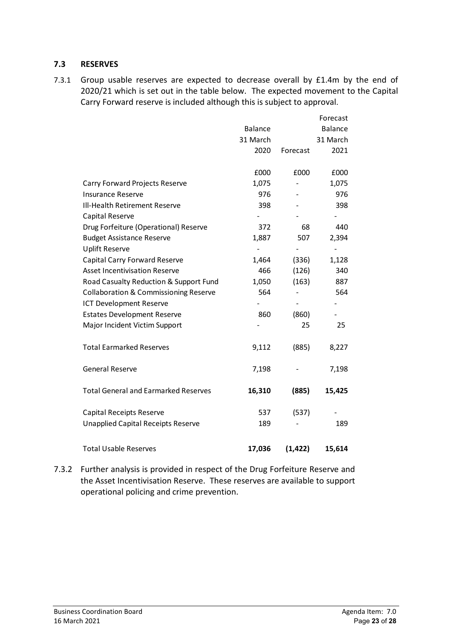### **7.3 RESERVES**

7.3.1 Group usable reserves are expected to decrease overall by £1.4m by the end of 2020/21 which is set out in the table below. The expected movement to the Capital Carry Forward reserve is included although this is subject to approval.

|                                                  |                |          | Forecast       |
|--------------------------------------------------|----------------|----------|----------------|
|                                                  | <b>Balance</b> |          | <b>Balance</b> |
|                                                  | 31 March       |          | 31 March       |
|                                                  | 2020           | Forecast | 2021           |
|                                                  |                |          |                |
|                                                  | £000           | £000     | £000           |
| Carry Forward Projects Reserve                   | 1,075          |          | 1,075          |
| <b>Insurance Reserve</b>                         | 976            |          | 976            |
| Ill-Health Retirement Reserve                    | 398            |          | 398            |
| Capital Reserve                                  |                |          |                |
| Drug Forfeiture (Operational) Reserve            | 372            | 68       | 440            |
| <b>Budget Assistance Reserve</b>                 | 1,887          | 507      | 2,394          |
| <b>Uplift Reserve</b>                            |                |          |                |
| Capital Carry Forward Reserve                    | 1,464          | (336)    | 1,128          |
| <b>Asset Incentivisation Reserve</b>             | 466            | (126)    | 340            |
| Road Casualty Reduction & Support Fund           | 1,050          | (163)    | 887            |
| <b>Collaboration &amp; Commissioning Reserve</b> | 564            |          | 564            |
| <b>ICT Development Reserve</b>                   |                |          |                |
| <b>Estates Development Reserve</b>               | 860            | (860)    |                |
| Major Incident Victim Support                    |                | 25       | 25             |
| <b>Total Earmarked Reserves</b>                  | 9,112          | (885)    | 8,227          |
| <b>General Reserve</b>                           | 7,198          |          | 7,198          |
| <b>Total General and Earmarked Reserves</b>      | 16,310         | (885)    | 15,425         |
| Capital Receipts Reserve                         | 537            | (537)    |                |
| <b>Unapplied Capital Receipts Reserve</b>        | 189            |          | 189            |
| <b>Total Usable Reserves</b>                     | 17,036         | (1, 422) | 15,614         |

7.3.2 Further analysis is provided in respect of the Drug Forfeiture Reserve and the Asset Incentivisation Reserve. These reserves are available to support operational policing and crime prevention.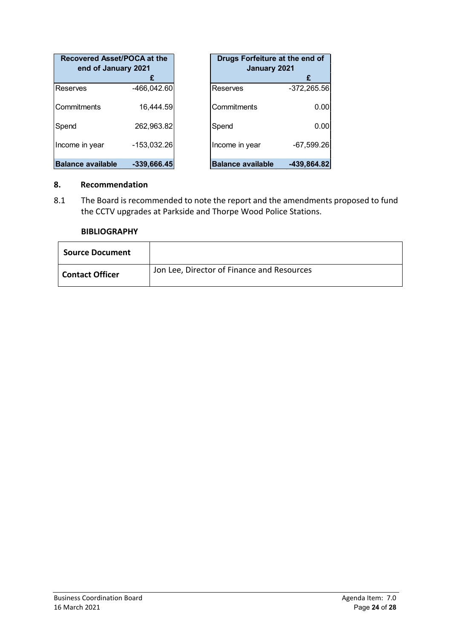| Recovered Asset/POCA at the<br>end of January 2021 |               | Drugs Forfeiture at the end of<br>January 2021 |               |
|----------------------------------------------------|---------------|------------------------------------------------|---------------|
|                                                    |               |                                                | £             |
| IReserves                                          | $-466,042.60$ | Reserves                                       | $-372,265.56$ |
| lCommitments                                       | 16,444.59     | Commitments                                    | 0.00          |
| Spend                                              | 262,963.82    | Spend                                          | 0.00          |
| Income in year                                     | $-153,032.26$ | Income in year                                 | $-67,599.26$  |
| <b>Balance available</b>                           | $-339,666.45$ | <b>Balance available</b>                       | $-439,864.82$ |

## **8. Recommendation**

8.1 The Board is recommended to note the report and the amendments proposed to fund the CCTV upgrades at Parkside and Thorpe Wood Police Stations.

#### **BIBLIOGRAPHY**

| <b>Source Document</b> |                                            |
|------------------------|--------------------------------------------|
| <b>Contact Officer</b> | Jon Lee, Director of Finance and Resources |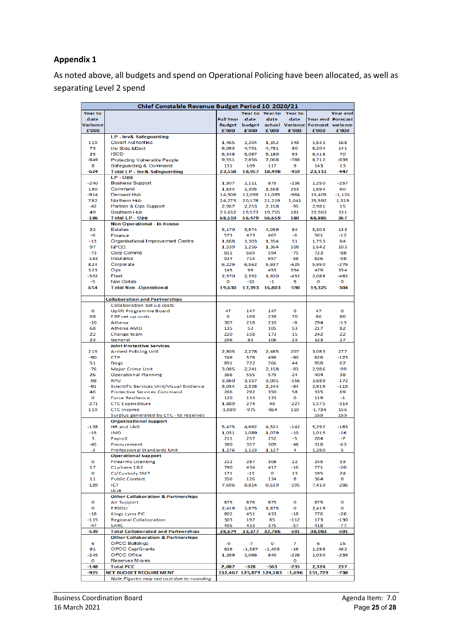# **Appendix 1**

As noted above, all budgets and spend on Operational Policing have been allocated, as well as separating Level 2 spend

|               | Chief Constable Revenue Budget Period 10 2020/21                               |                  |                         |                 |                                          |                 |                   |
|---------------|--------------------------------------------------------------------------------|------------------|-------------------------|-----------------|------------------------------------------|-----------------|-------------------|
| Year to       |                                                                                |                  |                         | Year to Year to | <b>Year to</b>                           |                 | Year end          |
| date          |                                                                                | <b>Full Year</b> | date                    | date            | date                                     |                 | Year end Forecast |
| Variance      |                                                                                | <b>Bu dget</b>   |                         |                 | budget actual Variance Forecast variance |                 |                   |
| £'000         |                                                                                | £'000            | £'000                   | £'000           | £'000                                    | £'000           | £'000             |
|               | LP - Inv& Safeguarding<br><b>Covert Authorities</b>                            |                  | 1.204                   |                 |                                          |                 |                   |
| 119<br>73     | Inv Stds &Devt                                                                 | 1,465<br>6,063   | 4,701                   | 1,352<br>4,781  | 148<br>80                                | 1,633<br>6,204  | 168<br>141        |
| 25            | <b>ISCD</b>                                                                    | 6.348            | 5,087                   | 5,180           | 93                                       | 6,418           | 70                |
| $-849$        | Protecting Vulnerable People                                                   | 9,551            | 7,856                   | 7,068           | $-788$                                   | 8,712           | $-839$            |
| 8             | Safeguarding & Command                                                         | 131              | 109                     | 117             | 9                                        | 143             | 13                |
| -624          | Total LP - Inv & Safeguarding                                                  | 23,558           | 18,957                  | 18,498          | $-459$                                   | 23,111          | -447              |
|               | LP-Ops                                                                         |                  |                         |                 |                                          |                 |                   |
| $-240$        | <b>Business Support</b>                                                        | 1,507            | 1,111                   | 875             | $-236$                                   | 1,250           | $-257$            |
| 180<br>$-914$ | Command<br>Demand Hub                                                          | 1,634<br>14,506  | 1,305<br>12,059 11,095  | 1,558           | 253<br>$-964$                            | 1,694<br>13,405 | 60                |
| 782           | Northern Hub                                                                   | 24,273           | 20,178                  | 21,219          | 1,041                                    | 25,592          | $-1,101$<br>1,319 |
| $-42$         | Partner & Ops Support                                                          | 2,967            | 2,253                   | 2,158           | -95                                      | 2,981           | 15                |
| 49            | Southern Hub                                                                   | 23,632           | 19,573                  | 19,755          | 181                                      | 23.963          | 331               |
| $-186$        | <b>Total LP - Ops</b>                                                          | 68,519           | 56,479                  | 56,659          | 180                                      | 68,885          | 367               |
|               | Non Operational - in-house                                                     |                  |                         |                 |                                          |                 |                   |
| 22            | <b>Estates</b>                                                                 | 5,170            | 3.974                   | 4,059           | 84                                       | 5,303           | 133               |
| -6<br>$-13$   | Finance                                                                        | 573              | 473                     | 467             | -6                                       | 561             | $-12$<br>84       |
| 97            | Organisational Improvement Centre<br><b>NPCC</b>                               | 1,668<br>1,539   | 1,303<br>1,256          | 1,354<br>1,364  | 51<br>108                                | 1,753<br>1,642  | 103               |
| $-73$         | Corp Comms                                                                     | 811              | 669                     | 594             | $-75$                                    | 723             | -88               |
| $-163$        | Insurance                                                                      | 924              | 715                     | 657             | -58                                      | 826             | -98               |
| 824           | Corporate                                                                      | 6,229            | 6,562                   | 5,937           | $-625$                                   | 5,950           | $-279$            |
| 323           | Ops                                                                            | 145              | 99                      | 453             | 354                                      | 479             | 334               |
| -352          | Fleet                                                                          | 2.570            | 2,352                   | 1,920           | $-432$                                   | 2,088           | $-482$            |
| -5            | Non Collab                                                                     | $\circ$          | -10                     | $-1$            | 9                                        | О               | o                 |
| 654           | <b>Total Non-Operational</b>                                                   | 19,630           | 17,393                  | 16,803          | $-590$                                   | 19,325          | $-304$            |
|               | <b>Collaboration and Partnerships</b>                                          |                  |                         |                 |                                          |                 |                   |
|               | Collaboration Set up costs                                                     |                  |                         |                 |                                          |                 |                   |
| o             | Uplift Programme Board                                                         | 47               | 147                     | 147             | o                                        | 47              | o                 |
| 68            | ERP set up costs                                                               | o                | 169                     | 239             | 70                                       | 86              | 86                |
| $-10$         | Athena                                                                         | 307              | 218                     | 210             | -8                                       | 294             | -13               |
| 68            | Athena AMO                                                                     | 135              | 53                      | 105             | 53                                       | 217             | 82                |
| 22            | Change team                                                                    | 220              | 158                     | 173             | 15<br>23                                 | 242             | 22                |
| 23            | General<br><b>Joint Protective Services</b>                                    | 296              | 83                      | 106             |                                          | 323             | 27                |
| 215           | <b>Armed Policing Unit</b>                                                     | 2,805            | 2,278                   | 2,485           | 207                                      | 3,083           | 277               |
| $-90$         | <b>CTP</b>                                                                     | 749              | 576                     | 496             | $-80$                                    | 626             | $-123$            |
| 51            | Dogs                                                                           | 891              | 722                     | 766             | 44                                       | 958             | 67                |
| $-76$         | Major Crime Unit                                                               | 3,085            | 2,241                   | 2,158           | -83                                      | 2,986           | -99               |
| 26            | <b>Operational Planning</b>                                                    | 366              | 555                     | 579             | 24                                       | 404             | 38                |
| $-98$         | <b>RPU</b>                                                                     | 3,860            | 3,157                   | 3,001           | $-156$                                   | 3,689           | $-172$            |
| $-91$<br>46   | Scientific Services Unit/Visual Evidence<br><b>Protective Services Command</b> | 3,034<br>266     | 2,328<br>292            | 2,244<br>350    | $-84$<br>58                              | 2,919<br>335    | $-115$<br>69      |
| o             | <b>Force Resilience</b>                                                        | 120              | 133                     | 133             | o                                        | 119             | $-1$              |
| $-271$        | <b>CTC Expenditure</b>                                                         | 1,889            | 274                     | 48              | -227                                     | 1,575           | $-314$            |
| 119           | <b>CTC Income</b>                                                              | $-1,889$         | $-975$                  | $-864$          | 110                                      | $-1,734$        | 156               |
|               | Surplus generated by CTC - to reserves                                         |                  |                         |                 |                                          | 159             | 159               |
|               | <b>Organisational Support</b>                                                  |                  |                         |                 |                                          |                 |                   |
| $-138$        | HR and L&D                                                                     | 5,475            | 4,662                   | 4,521           | $-142$                                   | 5,292           | $-183$            |
| $-15$         | <b>IMD</b>                                                                     | 1,031            | 1,089                   | 1,079           | $-10$                                    | 1,015           | $-16$             |
| з<br>-45      | Pavroll<br>Procurement                                                         | 211<br>380       | 257<br>357              | 252<br>309      | -5<br>$-48$                              | 204<br>318      | -7<br>-63         |
| -3            | Professional Standards Unit                                                    | 1,276            | 1,123                   | 1,127           | 4                                        | 1,280           | 5                 |
|               | <b>Operational Support</b>                                                     |                  |                         |                 |                                          |                 |                   |
| o             | <b>Firearms Licensing</b>                                                      | 212              | 287                     | 308             | 22                                       | 245             | 33                |
| 17            | CJ phase 1&2                                                                   | 790              | 434                     | 417             | $-16$                                    | 771             | -20               |
| o             | CJ/Custody SMT                                                                 | 171              | $-13$                   | o               | 13                                       | 195             | 24                |
| 11            | <b>Public Contact</b>                                                          | 356              | 126                     | 134             | 8                                        | 364             | 8                 |
| $-189$        | ICT                                                                            | 7,696            | 8,814                   | 8,619           | $-195$                                   | 7,410           | $-286$            |
|               | <b>LCJB</b><br><b>Other Collaboration &amp; Partnerships</b>                   |                  |                         |                 |                                          |                 |                   |
| o             | Air Support                                                                    | 875              | 876                     | 875             | $\circ$                                  | 875             | O                 |
| О             | <b>ERSOU</b>                                                                   | 2,419            | 1,875                   | 1,875           | $\circ$                                  | 2,419           | O                 |
| $-18$         | Kings Lynn PIC                                                                 | 802              | 451                     | 433             | $-18$                                    | 776             | $-26$             |
| $-115$        | Regional Collaboration                                                         | 303              | 197                     | 85              | $-112$                                   | 173             | $-130$            |
| $-47$         | <b>SARC</b>                                                                    | 495              | 433                     | 375             | -57                                      | 418             | -77               |
| $-539$        | <b>Total Collaborated and Partnerships</b>                                     | 38,674           | 33,377                  | 32,786          | $-591$                                   | 38,083          | -591              |
|               | <b>Other Collaboration &amp; Partnerships</b>                                  |                  |                         |                 |                                          |                 |                   |
| 6<br>91       | <b>OPCC Buildings</b><br>OPCC Cap/Grants                                       | -9<br>826        | -7<br>$-1,387$          | о<br>$-1,403$   | 7<br>$-16$                               | 6               | 15<br>462         |
| $-245$        | OPCC Office                                                                    | 1,269            | 1,066                   | 840             | -226                                     | 1,288<br>1,030  | -239              |
| O             | Reserves M oves                                                                |                  |                         |                 | O                                        |                 |                   |
| $-148$        | <b>Total PCC</b>                                                               | 2,087            | $-328$                  | $-563$          | $-235$                                   | 2,324           | 237               |
| $-925$        | <b>NET BUDGET REQUIREMENT</b>                                                  |                  | 152,467 125,879 124,183 |                 | $-1,696$                                 | 151,729         | -738              |
|               | Note:Figures may not cast due to rounding                                      |                  |                         |                 |                                          |                 |                   |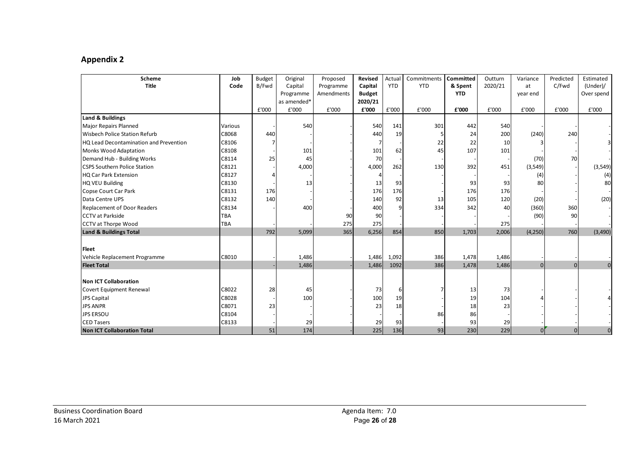# **Appendix 2**

| <b>Scheme</b>                          | Job        | <b>Budget</b> | Original    | Proposed   | <b>Revised</b> | Actual     | Commitments | <b>Committed</b> | Outturn | Variance | Predicted      | Estimated      |
|----------------------------------------|------------|---------------|-------------|------------|----------------|------------|-------------|------------------|---------|----------|----------------|----------------|
| <b>Title</b>                           | Code       | B/Fwd         | Capital     | Programme  | Capital        | <b>YTD</b> | <b>YTD</b>  | & Spent          | 2020/21 | at       | C/Fwd          | (Under)        |
|                                        |            |               | Programme   | Amendments | <b>Budget</b>  |            |             | <b>YTD</b>       |         | year end |                | Over spend     |
|                                        |            |               | as amended* |            | 2020/21        |            |             |                  |         |          |                |                |
|                                        |            | £'000         | £'000       | £'000      | £'000          | £'000      | £'000       | £'000            | £'000   | £'000    | £'000          | £'000          |
| <b>Land &amp; Buildings</b>            |            |               |             |            |                |            |             |                  |         |          |                |                |
| <b>Major Repairs Planned</b>           | Various    |               | 540         |            | 540            | 141        | 301         | 442              | 540     |          |                |                |
| <b>Wisbech Police Station Refurb</b>   | C8068      | 440           |             |            | 440            | 19         |             | 24               | 200     | (240)    | 240            |                |
| HQ Lead Decontamination and Prevention | C8106      |               |             |            | $\overline{7}$ |            | 22          | 22               | 10      |          |                |                |
| Monks Wood Adaptation                  | C8108      |               | 101         |            | 101            | 62         | 45          | 107              | 101     |          |                |                |
| Demand Hub - Building Works            | C8114      | 25            | 45          |            | 70             |            |             |                  |         | (70)     | 70             |                |
| <b>CSPS Southern Police Station</b>    | C8121      |               | 4,000       |            | 4,000          | 262        | 130         | 392              | 451     | (3,549)  |                | (3,549)        |
| <b>HQ Car Park Extension</b>           | C8127      |               |             |            | 4              |            |             |                  |         | (4)      |                | (4)            |
| <b>HQ VEU Building</b>                 | C8130      |               | 13          |            | 13             | 93         |             | 93               | 93      | 80       |                | 80             |
| Copse Court Car Park                   | C8131      | 176           |             |            | 176            | 176        |             | 176              | 176     |          |                |                |
| Data Centre UPS                        | C8132      | 140           |             |            | 140            | 92         | 13          | 105              | 120     | (20)     |                | (20)           |
| <b>Replacement of Door Readers</b>     | C8134      |               | 400         |            | 400            |            | 334         | 342              | 40      | (360)    | 360            |                |
| <b>CCTV</b> at Parkside                | <b>TBA</b> |               |             | 90         | 90             |            |             |                  |         | (90)     | 90             |                |
| <b>CCTV at Thorpe Wood</b>             | TBA        |               |             | 275        | 275            |            |             |                  | 275     |          |                |                |
| <b>Land &amp; Buildings Total</b>      |            | 792           | 5,099       | 365        | 6,256          | 854        | 850         | 1,703            | 2,006   | (4,250)  | 760            | (3,490)        |
|                                        |            |               |             |            |                |            |             |                  |         |          |                |                |
| <b>Fleet</b>                           |            |               |             |            |                |            |             |                  |         |          |                |                |
| Vehicle Replacement Programme          | C8010      |               | 1,486       |            | 1,486          | 1,092      | 386         | 1,478            | 1,486   |          |                |                |
| <b>Fleet Total</b>                     |            |               | 1,486       |            | 1,486          | 1092       | 386         | 1,478            | 1,486   | $\Omega$ | $\overline{0}$ | $\overline{0}$ |
|                                        |            |               |             |            |                |            |             |                  |         |          |                |                |
| Non ICT Collaboration                  |            |               |             |            |                |            |             |                  |         |          |                |                |
| Covert Equipment Renewal               | C8022      | 28            | 45          |            | 73             | 6          |             | 13               | 73      |          |                |                |
| JPS Capital                            | C8028      |               | 100         |            | 100            | 19         |             | 19               | 104     |          |                |                |
| <b>JPS ANPR</b>                        | C8071      | 23            |             |            | 23             | 18         |             | 18               | 23      |          |                |                |
| <b>JPS ERSOU</b>                       | C8104      |               |             |            |                |            | 86          | 86               |         |          |                |                |
| <b>CED Tasers</b>                      | C8133      |               | 29          |            | 29             | 93         |             | 93               | 29      |          |                |                |
| <b>Non ICT Collaboration Total</b>     |            | 51            | 174         |            | 225            | 136        | 93          | 230              | 229     |          | $\mathbf 0$    | $\overline{0}$ |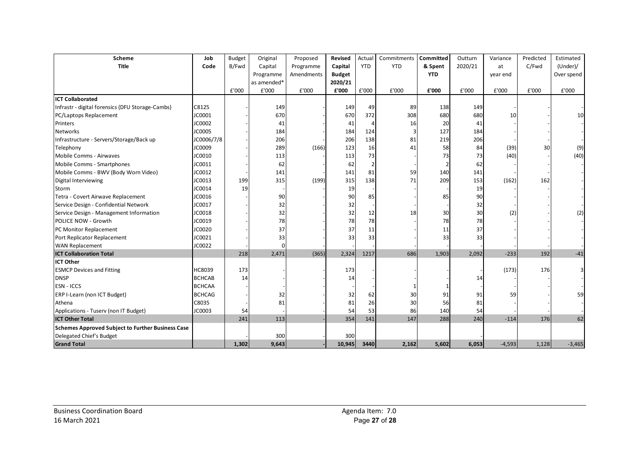| <b>Scheme</b>                                            | Job           | <b>Budget</b> | Original    | Proposed   | <b>Revised</b> | Actual     | Commitments | <b>Committed</b> | Outturn | Variance | Predicted       | Estimated  |
|----------------------------------------------------------|---------------|---------------|-------------|------------|----------------|------------|-------------|------------------|---------|----------|-----------------|------------|
| <b>Title</b>                                             | Code          | B/Fwd         | Capital     | Programme  | Capital        | <b>YTD</b> | <b>YTD</b>  | & Spent          | 2020/21 | at       | C/Fwd           | (Under)    |
|                                                          |               |               | Programme   | Amendments | <b>Budget</b>  |            |             | <b>YTD</b>       |         | year end |                 | Over spend |
|                                                          |               |               | as amended* |            | 2020/21        |            |             |                  |         |          |                 |            |
|                                                          |               | £'000         | £'000       | £'000      | £'000          | £'000      | £'000       | £'000            | £'000   | £'000    | £'000           | £'000      |
| <b>ICT Collaborated</b>                                  |               |               |             |            |                |            |             |                  |         |          |                 |            |
| Infrastr - digital forensics (DFU Storage-Cambs)         | C8125         |               | 149         |            | 149            | 49         | 89          | 138              | 149     |          |                 |            |
| PC/Laptops Replacement                                   | JC0001        |               | 670         |            | 670            | 372        | 308         | 680              | 680     | 10       |                 | 10         |
| Printers                                                 | JC0002        |               | 41          |            | 41             |            | 16          | 20               | 41      |          |                 |            |
| Networks                                                 | JC0005        |               | 184         |            | 184            | 124        | 3           | 127              | 184     |          |                 |            |
| Infrastructure - Servers/Storage/Back up                 | JC0006/7/8    |               | 206         |            | 206            | 138        | 81          | 219              | 206     |          |                 |            |
| Telephony                                                | JC0009        |               | 289         | (166)      | 123            | 16         | 41          | 58               | 84      | (39)     | 30 <sup>2</sup> | (9)        |
| Mobile Comms - Airwaves                                  | JC0010        |               | 113         |            | 113            | 73         |             | 73               | 73      | (40)     |                 | (40)       |
| Mobile Comms - Smartphones                               | JC0011        |               | 62          |            | 62             |            |             |                  | 62      |          |                 |            |
| Mobile Comms - BWV (Body Worn Video)                     | JC0012        |               | 141         |            | 141            | 81         | 59          | 140              | 141     |          |                 |            |
| Digital Interviewing                                     | JC0013        | 199           | 315         | (199)      | 315            | 138        | 71          | 209              | 153     | (162)    | 162             |            |
| Storm                                                    | JC0014        | 19            |             |            | 19             |            |             |                  | 19      |          |                 |            |
| Tetra - Covert Airwave Replacement                       | JC0016        |               | 90          |            | 90             | 85         |             | 85               | 90      |          |                 |            |
| Service Design - Confidential Network                    | JC0017        |               | 32          |            | 32             |            |             |                  | 32      |          |                 |            |
| Service Design - Management Information                  | JC0018        |               | 32          |            | 32             | 12         | 18          | 30               | 30      | (2)      |                 | (2)        |
| POLICE NOW - Growth                                      | JC0019        |               | 78          |            | 78             | 78         |             | 78               | 78      |          |                 |            |
| PC Monitor Replacement                                   | JC0020        |               | 37          |            | 37             | 11         |             | 11               | 37      |          |                 |            |
| Port Replicator Replacement                              | JC0021        |               | 33          |            | 33             | 33         |             | 33               | 33      |          |                 |            |
| <b>WAN Replacement</b>                                   | JC0022        |               | ŋ           |            |                |            |             |                  |         |          |                 |            |
| <b>ICT Collaboration Total</b>                           |               | 218           | 2,471       | (365)      | 2,324          | 1217       | 686         | 1,903            | 2,092   | $-233$   | 192             | $-41$      |
| <b>ICT Other</b>                                         |               |               |             |            |                |            |             |                  |         |          |                 |            |
| <b>ESMCP Devices and Fitting</b>                         | HC8039        | 173           |             |            | 173            |            |             |                  |         | (173)    | 176             |            |
| <b>DNSP</b>                                              | <b>BCHCAB</b> | 14            |             |            | 14             |            |             |                  | 14      |          |                 |            |
| <b>ESN - ICCS</b>                                        | <b>BCHCAA</b> |               |             |            |                |            |             |                  |         |          |                 |            |
| ERP I-Learn (non ICT Budget)                             | <b>BCHCAG</b> |               | 32          |            | 32             | 62         | 30          | 91               | 91      | 59       |                 | 59         |
| Athena                                                   | C8035         |               | 81          |            | 81             | 26         | 30          | 56               | 81      |          |                 |            |
| Applications - Tuserv (non IT Budget)                    | JC0003        | 54            |             |            | 54             | 53         | 86          | 140              | 54      |          |                 |            |
| <b>ICT Other Total</b>                                   |               | 241           | 113         |            | 354            | 141        | 147         | 288              | 240     | $-114$   | 176             | 62         |
| <b>Schemes Approved Subject to Further Business Case</b> |               |               |             |            |                |            |             |                  |         |          |                 |            |
| Delegated Chief's Budget                                 |               |               | 300         |            | 300            |            |             |                  |         |          |                 |            |
| <b>Grand Total</b>                                       |               | 1,302         | 9,643       |            | 10,945         | 3440       | 2,162       | 5,602            | 6,053   | $-4,593$ | 1,128           | $-3,465$   |